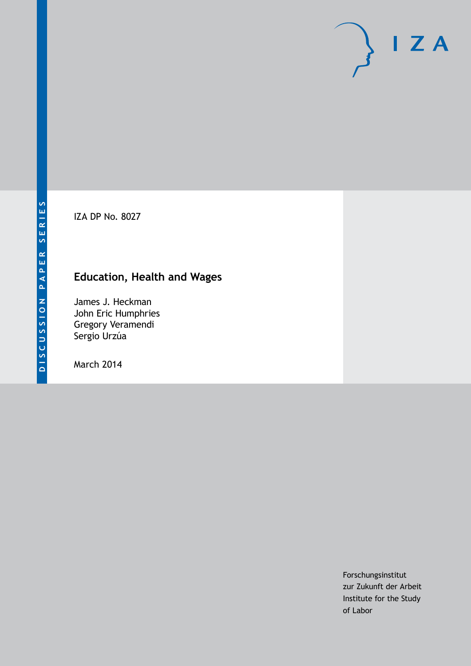IZA DP No. 8027

# **Education, Health and Wages**

James J. Heckman John Eric Humphries Gregory Veramendi Sergio Urzúa

March 2014

Forschungsinstitut zur Zukunft der Arbeit Institute for the Study of Labor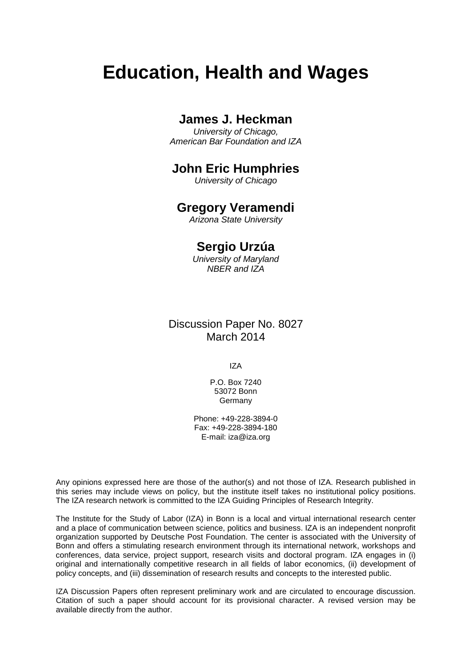# **Education, Health and Wages**

## **James J. Heckman**

*University of Chicago, American Bar Foundation and IZA*

## **John Eric Humphries**

*University of Chicago*

## **Gregory Veramendi**

*Arizona State University*

## **Sergio Urzúa**

*University of Maryland NBER and IZA*

### Discussion Paper No. 8027 March 2014

IZA

P.O. Box 7240 53072 Bonn **Germany** 

Phone: +49-228-3894-0 Fax: +49-228-3894-180 E-mail: [iza@iza.org](mailto:iza@iza.org)

Any opinions expressed here are those of the author(s) and not those of IZA. Research published in this series may include views on policy, but the institute itself takes no institutional policy positions. The IZA research network is committed to the IZA Guiding Principles of Research Integrity.

The Institute for the Study of Labor (IZA) in Bonn is a local and virtual international research center and a place of communication between science, politics and business. IZA is an independent nonprofit organization supported by Deutsche Post Foundation. The center is associated with the University of Bonn and offers a stimulating research environment through its international network, workshops and conferences, data service, project support, research visits and doctoral program. IZA engages in (i) original and internationally competitive research in all fields of labor economics, (ii) development of policy concepts, and (iii) dissemination of research results and concepts to the interested public.

<span id="page-1-0"></span>IZA Discussion Papers often represent preliminary work and are circulated to encourage discussion. Citation of such a paper should account for its provisional character. A revised version may be available directly from the author.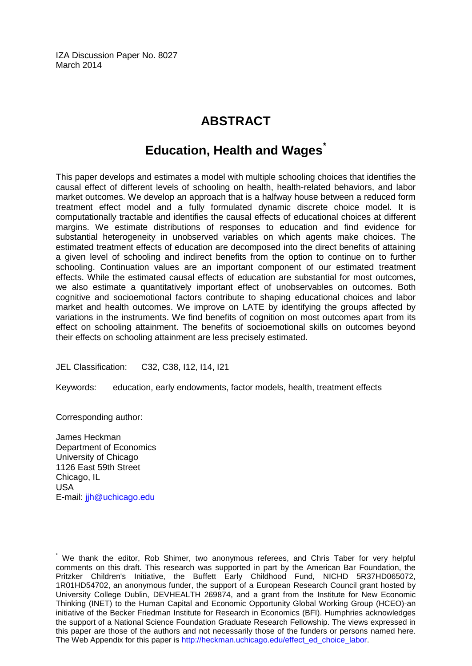IZA Discussion Paper No. 8027 March 2014

# **ABSTRACT**

# **Education, Health and Wages[\\*](#page-1-0)**

This paper develops and estimates a model with multiple schooling choices that identifies the causal effect of different levels of schooling on health, health-related behaviors, and labor market outcomes. We develop an approach that is a halfway house between a reduced form treatment effect model and a fully formulated dynamic discrete choice model. It is computationally tractable and identifies the causal effects of educational choices at different margins. We estimate distributions of responses to education and find evidence for substantial heterogeneity in unobserved variables on which agents make choices. The estimated treatment effects of education are decomposed into the direct benefits of attaining a given level of schooling and indirect benefits from the option to continue on to further schooling. Continuation values are an important component of our estimated treatment effects. While the estimated causal effects of education are substantial for most outcomes, we also estimate a quantitatively important effect of unobservables on outcomes. Both cognitive and socioemotional factors contribute to shaping educational choices and labor market and health outcomes. We improve on LATE by identifying the groups affected by variations in the instruments. We find benefits of cognition on most outcomes apart from its effect on schooling attainment. The benefits of socioemotional skills on outcomes beyond their effects on schooling attainment are less precisely estimated.

JEL Classification: C32, C38, I12, I14, I21

Keywords: education, early endowments, factor models, health, treatment effects

Corresponding author:

James Heckman Department of Economics University of Chicago 1126 East 59th Street Chicago, IL USA E-mail: [jjh@uchicago.edu](mailto:jjh@uchicago.edu)

We thank the editor, Rob Shimer, two anonymous referees, and Chris Taber for very helpful comments on this draft. This research was supported in part by the American Bar Foundation, the Pritzker Children's Initiative, the Buffett Early Childhood Fund, NICHD 5R37HD065072, 1R01HD54702, an anonymous funder, the support of a European Research Council grant hosted by University College Dublin, DEVHEALTH 269874, and a grant from the Institute for New Economic Thinking (INET) to the Human Capital and Economic Opportunity Global Working Group (HCEO)-an initiative of the Becker Friedman Institute for Research in Economics (BFI). Humphries acknowledges the support of a National Science Foundation Graduate Research Fellowship. The views expressed in this paper are those of the authors and not necessarily those of the funders or persons named here. The Web Appendix for this paper is [http://heckman.uchicago.edu/effect\\_ed\\_choice\\_labor.](http://heckman.uchicago.edu/effect_ed_choice_labor)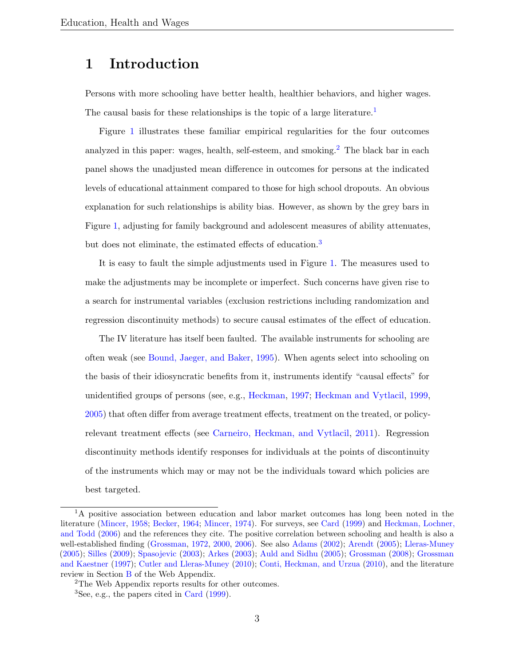## 1 Introduction

Persons with more schooling have better health, healthier behaviors, and higher wages. The causal basis for these relationships is the topic of a large literature.<sup>[1](#page-3-0)</sup>

Figure [1](#page-4-0) illustrates these familiar empirical regularities for the four outcomes analyzed in this paper: wages, health, self-esteem, and smoking.<sup>[2](#page-3-1)</sup> The black bar in each panel shows the unadjusted mean difference in outcomes for persons at the indicated levels of educational attainment compared to those for high school dropouts. An obvious explanation for such relationships is ability bias. However, as shown by the grey bars in Figure [1,](#page-4-0) adjusting for family background and adolescent measures of ability attenuates, but does not eliminate, the estimated effects of education.<sup>[3](#page-3-2)</sup>

It is easy to fault the simple adjustments used in Figure [1.](#page-4-0) The measures used to make the adjustments may be incomplete or imperfect. Such concerns have given rise to a search for instrumental variables (exclusion restrictions including randomization and regression discontinuity methods) to secure causal estimates of the effect of education.

The IV literature has itself been faulted. The available instruments for schooling are often weak (see [Bound, Jaeger, and Baker,](#page-53-0) [1995\)](#page-53-0). When agents select into schooling on the basis of their idiosyncratic benefits from it, instruments identify "causal effects" for unidentified groups of persons (see, e.g., [Heckman,](#page-57-0) [1997;](#page-57-0) [Heckman and Vytlacil,](#page-58-0) [1999,](#page-58-0) [2005\)](#page-59-0) that often differ from average treatment effects, treatment on the treated, or policyrelevant treatment effects (see [Carneiro, Heckman, and Vytlacil,](#page-54-0) [2011\)](#page-54-0). Regression discontinuity methods identify responses for individuals at the points of discontinuity of the instruments which may or may not be the individuals toward which policies are best targeted.

<span id="page-3-0"></span><sup>&</sup>lt;sup>1</sup>A positive association between education and labor market outcomes has long been noted in the literature [\(Mincer,](#page-60-0) [1958;](#page-60-0) [Becker,](#page-53-1) [1964;](#page-53-1) [Mincer,](#page-60-1) [1974\)](#page-60-1). For surveys, see [Card](#page-54-1) [\(1999\)](#page-54-1) and [Heckman, Lochner,](#page-58-1) [and Todd](#page-58-1) [\(2006\)](#page-58-1) and the references they cite. The positive correlation between schooling and health is also a well-established finding [\(Grossman,](#page-56-0) [1972,](#page-56-0) [2000,](#page-56-1) [2006\)](#page-56-2). See also [Adams](#page-52-0) [\(2002\)](#page-52-0); [Arendt](#page-53-2) [\(2005\)](#page-53-2); [Lleras-Muney](#page-59-1) [\(2005\)](#page-59-1); [Silles](#page-60-2) [\(2009\)](#page-60-2); [Spasojevic](#page-60-3) [\(2003\)](#page-60-3); [Arkes](#page-53-3) [\(2003\)](#page-53-3); [Auld and Sidhu](#page-53-4) [\(2005\)](#page-53-4); [Grossman](#page-56-3) [\(2008\)](#page-56-3); [Grossman](#page-56-4) [and Kaestner](#page-56-4) [\(1997\)](#page-56-4); [Cutler and Lleras-Muney](#page-55-0) [\(2010\)](#page-55-0); [Conti, Heckman, and Urzua](#page-55-1) [\(2010\)](#page-55-1), and the literature review in Section [B](#page--1-0) of the Web Appendix.

<span id="page-3-1"></span><sup>2</sup>The Web Appendix reports results for other outcomes.

<span id="page-3-2"></span> ${}^{3}$ See, e.g., the papers cited in [Card](#page-54-1) [\(1999\)](#page-54-1).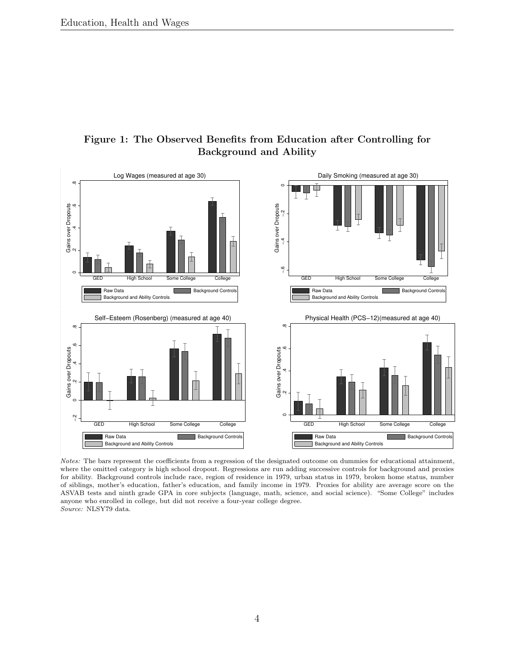

#### <span id="page-4-0"></span>Figure 1: The Observed Benefits from Education after Controlling for Background and Ability

Notes: The bars represent the coefficients from a regression of the designated outcome on dummies for educational attainment, where the omitted category is high school dropout. Regressions are run adding successive controls for background and proxies for ability. Background controls include race, region of residence in 1979, urban status in 1979, broken home status, number of siblings, mother's education, father's education, and family income in 1979. Proxies for ability are average score on the ASVAB tests and ninth grade GPA in core subjects (language, math, science, and social science). "Some College" includes anyone who enrolled in college, but did not receive a four-year college degree. Source: NLSY79 data.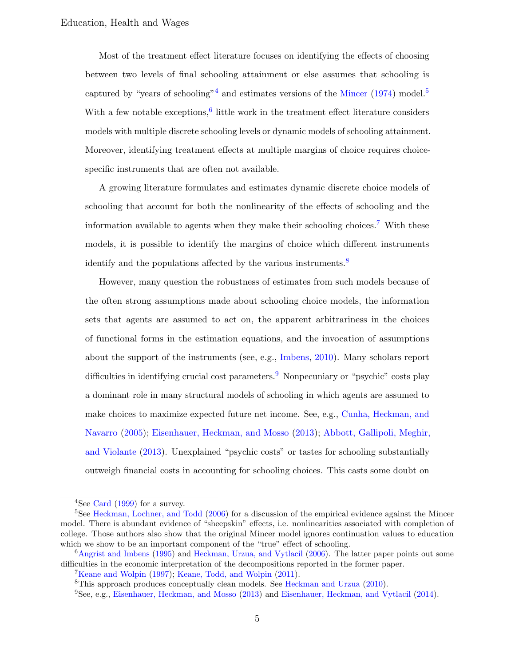Most of the treatment effect literature focuses on identifying the effects of choosing between two levels of final schooling attainment or else assumes that schooling is captured by "years of schooling"<sup>[4](#page-5-0)</sup> and estimates versions of the [Mincer](#page-60-1)  $(1974)$  model.<sup>[5](#page-5-1)</sup> With a few notable exceptions,  $6$  little work in the treatment effect literature considers models with multiple discrete schooling levels or dynamic models of schooling attainment. Moreover, identifying treatment effects at multiple margins of choice requires choicespecific instruments that are often not available.

A growing literature formulates and estimates dynamic discrete choice models of schooling that account for both the nonlinearity of the effects of schooling and the information available to agents when they make their schooling choices.<sup>[7](#page-5-3)</sup> With these models, it is possible to identify the margins of choice which different instruments identify and the populations affected by the various instruments.<sup>[8](#page-5-4)</sup>

However, many question the robustness of estimates from such models because of the often strong assumptions made about schooling choice models, the information sets that agents are assumed to act on, the apparent arbitrariness in the choices of functional forms in the estimation equations, and the invocation of assumptions about the support of the instruments (see, e.g., [Imbens,](#page-59-2) [2010\)](#page-59-2). Many scholars report difficulties in identifying crucial cost parameters.[9](#page-5-5) Nonpecuniary or "psychic" costs play a dominant role in many structural models of schooling in which agents are assumed to make choices to maximize expected future net income. See, e.g., [Cunha, Heckman, and](#page-55-2) [Navarro](#page-55-2) [\(2005\)](#page-55-2); [Eisenhauer, Heckman, and Mosso](#page-56-5) [\(2013\)](#page-56-5); [Abbott, Gallipoli, Meghir,](#page-52-1) [and Violante](#page-52-1) [\(2013\)](#page-52-1). Unexplained "psychic costs" or tastes for schooling substantially outweigh financial costs in accounting for schooling choices. This casts some doubt on

<span id="page-5-1"></span><span id="page-5-0"></span><sup>&</sup>lt;sup>4</sup>See [Card](#page-54-1)  $(1999)$  for a survey.

<sup>&</sup>lt;sup>5</sup>See [Heckman, Lochner, and Todd](#page-58-1) [\(2006\)](#page-58-1) for a discussion of the empirical evidence against the Mincer model. There is abundant evidence of "sheepskin" effects, i.e. nonlinearities associated with completion of college. Those authors also show that the original Mincer model ignores continuation values to education which we show to be an important component of the "true" effect of schooling.

<span id="page-5-2"></span><sup>6</sup>[Angrist and Imbens](#page-52-2) [\(1995\)](#page-52-2) and [Heckman, Urzua, and Vytlacil](#page-58-2) [\(2006\)](#page-58-2). The latter paper points out some difficulties in the economic interpretation of the decompositions reported in the former paper.

<span id="page-5-3"></span><sup>7</sup>[Keane and Wolpin](#page-59-3) [\(1997\)](#page-59-3); [Keane, Todd, and Wolpin](#page-59-4) [\(2011\)](#page-59-4).

<span id="page-5-4"></span><sup>8</sup>This approach produces conceptually clean models. See [Heckman and Urzua](#page-58-3) [\(2010\)](#page-58-3).

<span id="page-5-5"></span><sup>9</sup>See, e.g., [Eisenhauer, Heckman, and Mosso](#page-56-5) [\(2013\)](#page-56-5) and [Eisenhauer, Heckman, and Vytlacil](#page-56-6) [\(2014\)](#page-56-6).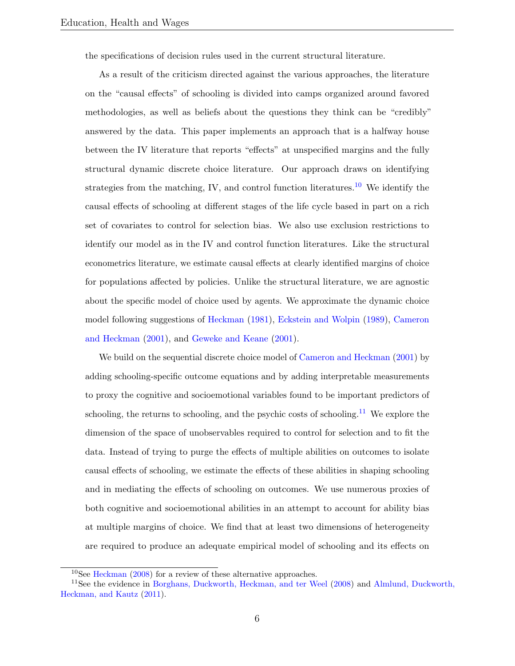the specifications of decision rules used in the current structural literature.

As a result of the criticism directed against the various approaches, the literature on the "causal effects" of schooling is divided into camps organized around favored methodologies, as well as beliefs about the questions they think can be "credibly" answered by the data. This paper implements an approach that is a halfway house between the IV literature that reports "effects" at unspecified margins and the fully structural dynamic discrete choice literature. Our approach draws on identifying strategies from the matching, IV, and control function literatures.<sup>[10](#page-6-0)</sup> We identify the causal effects of schooling at different stages of the life cycle based in part on a rich set of covariates to control for selection bias. We also use exclusion restrictions to identify our model as in the IV and control function literatures. Like the structural econometrics literature, we estimate causal effects at clearly identified margins of choice for populations affected by policies. Unlike the structural literature, we are agnostic about the specific model of choice used by agents. We approximate the dynamic choice model following suggestions of [Heckman](#page-57-1) [\(1981\)](#page-57-1), [Eckstein and Wolpin](#page-55-3) [\(1989\)](#page-55-3), [Cameron](#page-54-2) [and Heckman](#page-54-2) [\(2001\)](#page-54-2), and [Geweke and Keane](#page-56-7) [\(2001\)](#page-56-7).

We build on the sequential discrete choice model of [Cameron and Heckman](#page-54-2) [\(2001\)](#page-54-2) by adding schooling-specific outcome equations and by adding interpretable measurements to proxy the cognitive and socioemotional variables found to be important predictors of schooling, the returns to schooling, and the psychic costs of schooling.<sup>[11](#page-6-1)</sup> We explore the dimension of the space of unobservables required to control for selection and to fit the data. Instead of trying to purge the effects of multiple abilities on outcomes to isolate causal effects of schooling, we estimate the effects of these abilities in shaping schooling and in mediating the effects of schooling on outcomes. We use numerous proxies of both cognitive and socioemotional abilities in an attempt to account for ability bias at multiple margins of choice. We find that at least two dimensions of heterogeneity are required to produce an adequate empirical model of schooling and its effects on

<span id="page-6-1"></span><span id="page-6-0"></span><sup>10</sup>See [Heckman](#page-57-2) [\(2008\)](#page-57-2) for a review of these alternative approaches.

<sup>&</sup>lt;sup>11</sup>See the evidence in [Borghans, Duckworth, Heckman, and ter Weel](#page-53-5) [\(2008\)](#page-53-5) and [Almlund, Duckworth,](#page-52-3) [Heckman, and Kautz](#page-52-3) [\(2011\)](#page-52-3).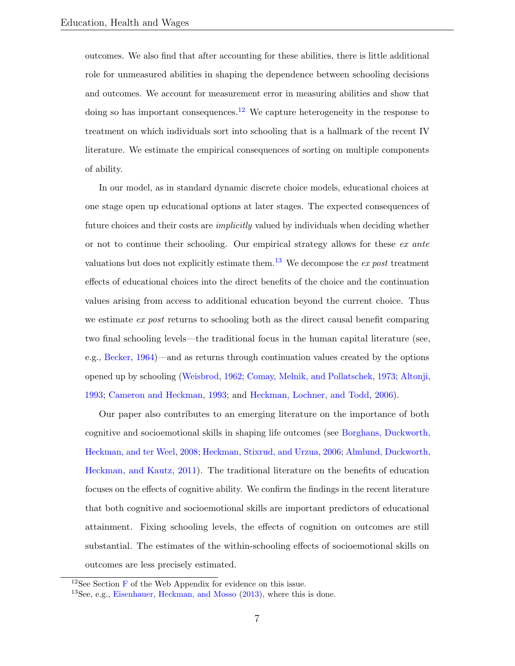outcomes. We also find that after accounting for these abilities, there is little additional role for unmeasured abilities in shaping the dependence between schooling decisions and outcomes. We account for measurement error in measuring abilities and show that doing so has important consequences.<sup>[12](#page-7-0)</sup> We capture heterogeneity in the response to treatment on which individuals sort into schooling that is a hallmark of the recent IV literature. We estimate the empirical consequences of sorting on multiple components of ability.

In our model, as in standard dynamic discrete choice models, educational choices at one stage open up educational options at later stages. The expected consequences of future choices and their costs are *implicitly* valued by individuals when deciding whether or not to continue their schooling. Our empirical strategy allows for these ex ante valuations but does not explicitly estimate them.<sup>[13](#page-7-1)</sup> We decompose the ex post treatment effects of educational choices into the direct benefits of the choice and the continuation values arising from access to additional education beyond the current choice. Thus we estimate ex post returns to schooling both as the direct causal benefit comparing two final schooling levels—the traditional focus in the human capital literature (see, e.g., [Becker,](#page-53-1) [1964\)](#page-53-1)—and as returns through continuation values created by the options opened up by schooling [\(Weisbrod,](#page-60-4) [1962;](#page-60-4) [Comay, Melnik, and Pollatschek,](#page-54-3) [1973;](#page-54-3) [Altonji,](#page-52-4) [1993;](#page-52-4) [Cameron and Heckman,](#page-53-6) [1993;](#page-53-6) and [Heckman, Lochner, and Todd,](#page-58-1) [2006\)](#page-58-1).

Our paper also contributes to an emerging literature on the importance of both cognitive and socioemotional skills in shaping life outcomes (see [Borghans, Duckworth,](#page-53-5) [Heckman, and ter Weel,](#page-53-5) [2008;](#page-53-5) [Heckman, Stixrud, and Urzua,](#page-58-4) [2006;](#page-58-4) [Almlund, Duckworth,](#page-52-3) [Heckman, and Kautz,](#page-52-3) [2011\)](#page-52-3). The traditional literature on the benefits of education focuses on the effects of cognitive ability. We confirm the findings in the recent literature that both cognitive and socioemotional skills are important predictors of educational attainment. Fixing schooling levels, the effects of cognition on outcomes are still substantial. The estimates of the within-schooling effects of socioemotional skills on outcomes are less precisely estimated.

<span id="page-7-0"></span><sup>&</sup>lt;sup>12</sup>See Section  $\bf{F}$  $\bf{F}$  $\bf{F}$  of the Web Appendix for evidence on this issue.

<span id="page-7-1"></span><sup>&</sup>lt;sup>13</sup>See, e.g., [Eisenhauer, Heckman, and Mosso](#page-56-5) [\(2013\)](#page-56-5), where this is done.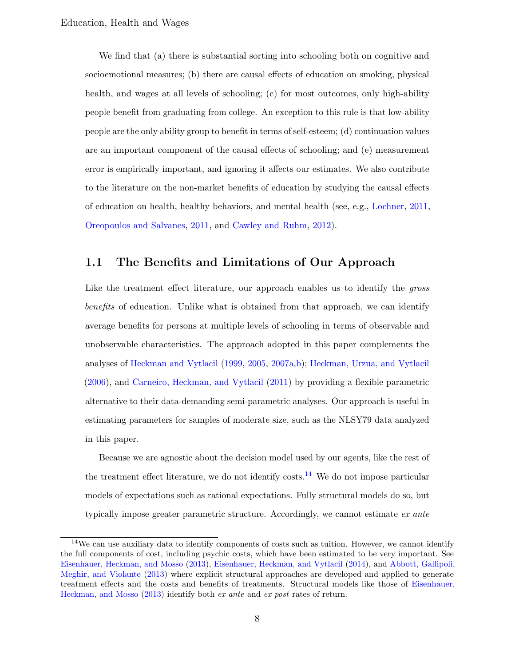We find that (a) there is substantial sorting into schooling both on cognitive and socioemotional measures; (b) there are causal effects of education on smoking, physical health, and wages at all levels of schooling; (c) for most outcomes, only high-ability people benefit from graduating from college. An exception to this rule is that low-ability people are the only ability group to benefit in terms of self-esteem; (d) continuation values are an important component of the causal effects of schooling; and (e) measurement error is empirically important, and ignoring it affects our estimates. We also contribute to the literature on the non-market benefits of education by studying the causal effects of education on health, healthy behaviors, and mental health (see, e.g., [Lochner,](#page-59-5) [2011,](#page-59-5) [Oreopoulos and Salvanes,](#page-60-5) [2011,](#page-60-5) and [Cawley and Ruhm,](#page-54-4) [2012\)](#page-54-4).

#### 1.1 The Benefits and Limitations of Our Approach

Like the treatment effect literature, our approach enables us to identify the *gross* benefits of education. Unlike what is obtained from that approach, we can identify average benefits for persons at multiple levels of schooling in terms of observable and unobservable characteristics. The approach adopted in this paper complements the analyses of [Heckman and Vytlacil](#page-58-0) [\(1999,](#page-58-0) [2005,](#page-59-0) [2007a](#page-59-6)[,b\)](#page-59-7); [Heckman, Urzua, and Vytlacil](#page-58-2) [\(2006\)](#page-58-2), and [Carneiro, Heckman, and Vytlacil](#page-54-0) [\(2011\)](#page-54-0) by providing a flexible parametric alternative to their data-demanding semi-parametric analyses. Our approach is useful in estimating parameters for samples of moderate size, such as the NLSY79 data analyzed in this paper.

Because we are agnostic about the decision model used by our agents, like the rest of the treatment effect literature, we do not identify costs.<sup>[14](#page-8-0)</sup> We do not impose particular models of expectations such as rational expectations. Fully structural models do so, but typically impose greater parametric structure. Accordingly, we cannot estimate ex ante

<span id="page-8-0"></span><sup>&</sup>lt;sup>14</sup>We can use auxiliary data to identify components of costs such as tuition. However, we cannot identify the full components of cost, including psychic costs, which have been estimated to be very important. See [Eisenhauer, Heckman, and Mosso](#page-56-5) [\(2013\)](#page-56-5), [Eisenhauer, Heckman, and Vytlacil](#page-56-6) [\(2014\)](#page-56-6), and [Abbott, Gallipoli,](#page-52-1) [Meghir, and Violante](#page-52-1) [\(2013\)](#page-52-1) where explicit structural approaches are developed and applied to generate treatment effects and the costs and benefits of treatments. Structural models like those of [Eisenhauer,](#page-56-5) [Heckman, and Mosso](#page-56-5) [\(2013\)](#page-56-5) identify both ex ante and ex post rates of return.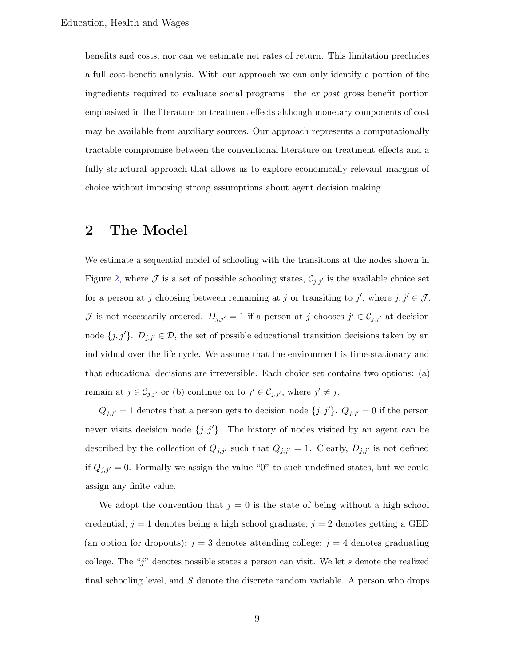benefits and costs, nor can we estimate net rates of return. This limitation precludes a full cost-benefit analysis. With our approach we can only identify a portion of the ingredients required to evaluate social programs—the ex post gross benefit portion emphasized in the literature on treatment effects although monetary components of cost may be available from auxiliary sources. Our approach represents a computationally tractable compromise between the conventional literature on treatment effects and a fully structural approach that allows us to explore economically relevant margins of choice without imposing strong assumptions about agent decision making.

## <span id="page-9-0"></span>2 The Model

We estimate a sequential model of schooling with the transitions at the nodes shown in Figure [2,](#page-10-0) where  $\mathcal J$  is a set of possible schooling states,  $\mathcal C_{j,j'}$  is the available choice set for a person at j choosing between remaining at j or transiting to j', where  $j, j' \in J$ . J is not necessarily ordered.  $D_{j,j'} = 1$  if a person at j chooses  $j' \in C_{j,j'}$  at decision node  $\{j, j'\}$ .  $D_{j, j'} \in \mathcal{D}$ , the set of possible educational transition decisions taken by an individual over the life cycle. We assume that the environment is time-stationary and that educational decisions are irreversible. Each choice set contains two options: (a) remain at  $j \in \mathcal{C}_{j,j'}$  or (b) continue on to  $j' \in \mathcal{C}_{j,j'}$ , where  $j' \neq j$ .

 $Q_{j,j'}=1$  denotes that a person gets to decision node  $\{j,j'\}$ .  $Q_{j,j'}=0$  if the person never visits decision node  $\{j, j'\}$ . The history of nodes visited by an agent can be described by the collection of  $Q_{j,j'}$  such that  $Q_{j,j'} = 1$ . Clearly,  $D_{j,j'}$  is not defined if  $Q_{j,j'}=0$ . Formally we assign the value "0" to such undefined states, but we could assign any finite value.

We adopt the convention that  $j = 0$  is the state of being without a high school credential;  $j = 1$  denotes being a high school graduate;  $j = 2$  denotes getting a GED (an option for dropouts);  $j = 3$  denotes attending college;  $j = 4$  denotes graduating college. The "j" denotes possible states a person can visit. We let s denote the realized final schooling level, and S denote the discrete random variable. A person who drops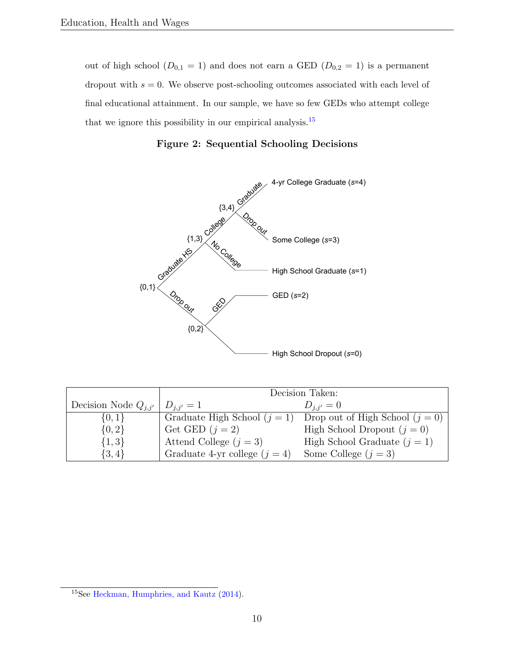out of high school ( $D_{0,1} = 1$ ) and does not earn a GED ( $D_{0,2} = 1$ ) is a permanent dropout with  $s = 0$ . We observe post-schooling outcomes associated with each level of final educational attainment. In our sample, we have so few GEDs who attempt college that we ignore this possibility in our empirical analysis.<sup>[15](#page-10-1)</sup>



<span id="page-10-0"></span>

|                          |                                 | Decision Taken:                   |
|--------------------------|---------------------------------|-----------------------------------|
| Decision Node $Q_{i,i'}$ | $D_{i,i'}=1$                    | $D_{i,i'}=0$                      |
| $\{0,1\}$                | Graduate High School $(i = 1)$  | Drop out of High School $(j = 0)$ |
| ${0,2}$                  | Get GED $(j = 2)$               | High School Dropout $(j = 0)$     |
| $\{1,3\}$                | Attend College $(j = 3)$        | High School Graduate $(j = 1)$    |
| $\{3,4\}$                | Graduate 4-yr college $(j = 4)$ | Some College $(j = 3)$            |

<span id="page-10-1"></span><sup>15</sup>See [Heckman, Humphries, and Kautz](#page-57-3) [\(2014\)](#page-57-3).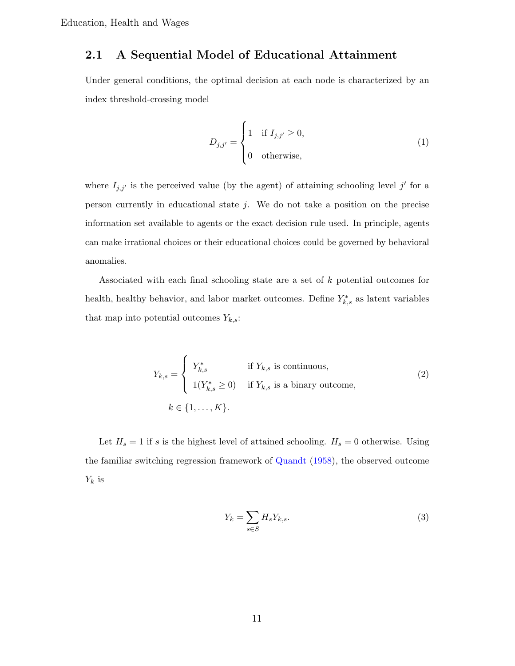### 2.1 A Sequential Model of Educational Attainment

Under general conditions, the optimal decision at each node is characterized by an index threshold-crossing model

$$
D_{j,j'} = \begin{cases} 1 & \text{if } I_{j,j'} \ge 0, \\ 0 & \text{otherwise,} \end{cases}
$$
 (1)

where  $I_{j,j'}$  is the perceived value (by the agent) of attaining schooling level j' for a person currently in educational state  $j$ . We do not take a position on the precise information set available to agents or the exact decision rule used. In principle, agents can make irrational choices or their educational choices could be governed by behavioral anomalies.

Associated with each final schooling state are a set of k potential outcomes for health, healthy behavior, and labor market outcomes. Define  $Y_{k,s}^*$  as latent variables that map into potential outcomes  $Y_{k,s}$ :

$$
Y_{k,s} = \begin{cases} Y_{k,s}^* & \text{if } Y_{k,s} \text{ is continuous,} \\ 1(Y_{k,s}^* \ge 0) & \text{if } Y_{k,s} \text{ is a binary outcome,} \end{cases}
$$
  

$$
k \in \{1, ..., K\}. \tag{2}
$$

Let  $H_s = 1$  if s is the highest level of attained schooling.  $H_s = 0$  otherwise. Using the familiar switching regression framework of [Quandt](#page-60-6) [\(1958\)](#page-60-6), the observed outcome  $Y_k$  is

$$
Y_k = \sum_{s \in S} H_s Y_{k,s}.\tag{3}
$$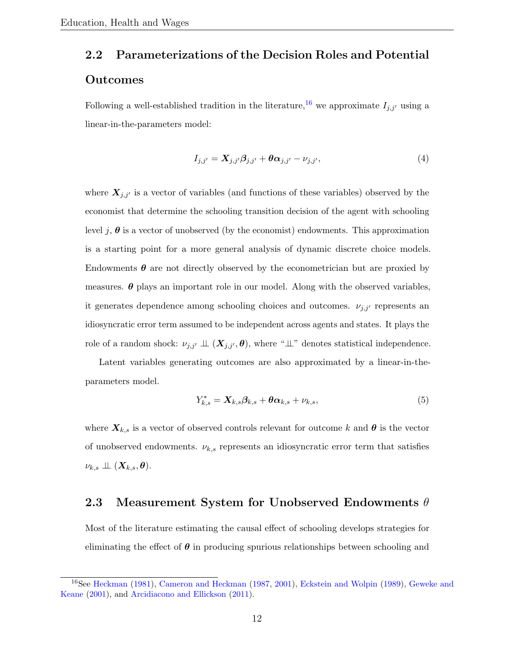# 2.2 Parameterizations of the Decision Roles and Potential Outcomes

Following a well-established tradition in the literature,<sup>[16](#page-12-0)</sup> we approximate  $I_{j,j'}$  using a linear-in-the-parameters model:

$$
I_{j,j'} = \mathbf{X}_{j,j'}\boldsymbol{\beta}_{j,j'} + \boldsymbol{\theta}\boldsymbol{\alpha}_{j,j'} - \nu_{j,j'},
$$
\n<sup>(4)</sup>

where  $X_{j,j'}$  is a vector of variables (and functions of these variables) observed by the economist that determine the schooling transition decision of the agent with schooling level j,  $\theta$  is a vector of unobserved (by the economist) endowments. This approximation is a starting point for a more general analysis of dynamic discrete choice models. Endowments  $\boldsymbol{\theta}$  are not directly observed by the econometrician but are proxied by measures.  $\theta$  plays an important role in our model. Along with the observed variables, it generates dependence among schooling choices and outcomes.  $\nu_{j,j'}$  represents an idiosyncratic error term assumed to be independent across agents and states. It plays the role of a random shock:  $\nu_{j,j'} \perp \!\!\! \perp (X_{j,j'}, \theta)$ , where " $\perp \!\!\! \perp$ " denotes statistical independence.

Latent variables generating outcomes are also approximated by a linear-in-theparameters model.

$$
Y_{k,s}^* = \mathbf{X}_{k,s} \boldsymbol{\beta}_{k,s} + \boldsymbol{\theta} \boldsymbol{\alpha}_{k,s} + \nu_{k,s},
$$
\n<sup>(5)</sup>

where  $\mathbf{X}_{k,s}$  is a vector of observed controls relevant for outcome k and  $\boldsymbol{\theta}$  is the vector of unobserved endowments.  $\nu_{k,s}$  represents an idiosyncratic error term that satisfies  $\nu_{k,s} \perp\!\!\!\perp (X_{k,s}, \theta).$ 

#### 2.3 Measurement System for Unobserved Endowments  $\theta$

Most of the literature estimating the causal effect of schooling develops strategies for eliminating the effect of  $\theta$  in producing spurious relationships between schooling and

<span id="page-12-0"></span><sup>&</sup>lt;sup>16</sup>See [Heckman](#page-57-1) [\(1981\)](#page-57-1), [Cameron and Heckman](#page-53-7) [\(1987,](#page-53-7) [2001\)](#page-54-2), [Eckstein and Wolpin](#page-55-3) [\(1989\)](#page-55-3), [Geweke and](#page-56-7) [Keane](#page-56-7) [\(2001\)](#page-56-7), and [Arcidiacono and Ellickson](#page-52-5) [\(2011\)](#page-52-5).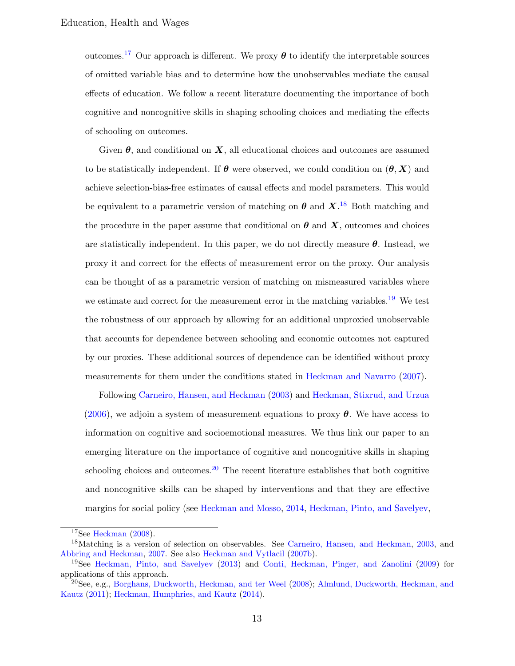outcomes.<sup>[17](#page-13-0)</sup> Our approach is different. We proxy  $\theta$  to identify the interpretable sources of omitted variable bias and to determine how the unobservables mediate the causal effects of education. We follow a recent literature documenting the importance of both cognitive and noncognitive skills in shaping schooling choices and mediating the effects of schooling on outcomes.

Given  $\theta$ , and conditional on  $X$ , all educational choices and outcomes are assumed to be statistically independent. If  $\theta$  were observed, we could condition on  $(\theta, X)$  and achieve selection-bias-free estimates of causal effects and model parameters. This would be equivalent to a parametric version of matching on  $\theta$  and  $X$ .<sup>[18](#page-13-1)</sup> Both matching and the procedure in the paper assume that conditional on  $\theta$  and  $X$ , outcomes and choices are statistically independent. In this paper, we do not directly measure  $\theta$ . Instead, we proxy it and correct for the effects of measurement error on the proxy. Our analysis can be thought of as a parametric version of matching on mismeasured variables where we estimate and correct for the measurement error in the matching variables.<sup>[19](#page-13-2)</sup> We test the robustness of our approach by allowing for an additional unproxied unobservable that accounts for dependence between schooling and economic outcomes not captured by our proxies. These additional sources of dependence can be identified without proxy measurements for them under the conditions stated in [Heckman and Navarro](#page-58-5) [\(2007\)](#page-58-5).

Following [Carneiro, Hansen, and Heckman](#page-54-5) [\(2003\)](#page-54-5) and [Heckman, Stixrud, and Urzua](#page-58-4) [\(2006\)](#page-58-4), we adjoin a system of measurement equations to proxy  $\theta$ . We have access to information on cognitive and socioemotional measures. We thus link our paper to an emerging literature on the importance of cognitive and noncognitive skills in shaping schooling choices and outcomes.<sup>[20](#page-13-3)</sup> The recent literature establishes that both cognitive and noncognitive skills can be shaped by interventions and that they are effective margins for social policy (see [Heckman and Mosso,](#page-58-6) [2014,](#page-58-6) [Heckman, Pinto, and Savelyev,](#page-58-7)

<span id="page-13-1"></span><span id="page-13-0"></span> $17$ See [Heckman](#page-57-2) [\(2008\)](#page-57-2).

<sup>18</sup>Matching is a version of selection on observables. See [Carneiro, Hansen, and Heckman,](#page-54-5) [2003,](#page-54-5) and [Abbring and Heckman,](#page-52-6) [2007.](#page-52-6) See also [Heckman and Vytlacil](#page-59-7) [\(2007b\)](#page-59-7).

<span id="page-13-2"></span><sup>19</sup>See [Heckman, Pinto, and Savelyev](#page-58-7) [\(2013\)](#page-58-7) and [Conti, Heckman, Pinger, and Zanolini](#page-55-4) [\(2009\)](#page-55-4) for applications of this approach.

<span id="page-13-3"></span><sup>20</sup>See, e.g., [Borghans, Duckworth, Heckman, and ter Weel](#page-53-5) [\(2008\)](#page-53-5); [Almlund, Duckworth, Heckman, and](#page-52-3) [Kautz](#page-52-3) [\(2011\)](#page-52-3); [Heckman, Humphries, and Kautz](#page-57-3) [\(2014\)](#page-57-3).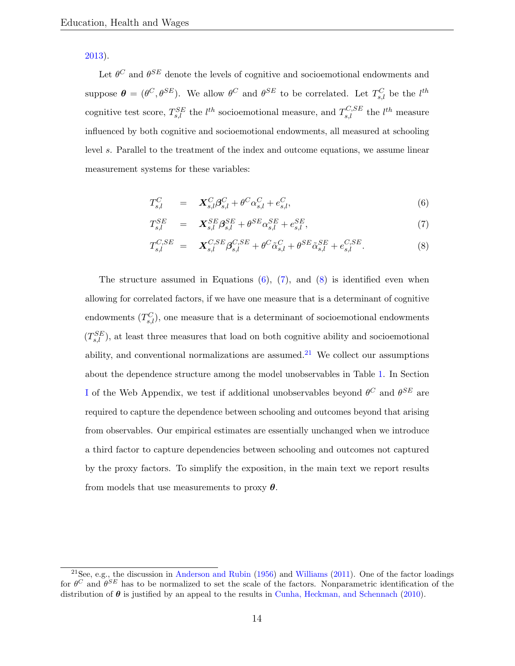[2013\)](#page-58-7).

Let  $\theta^C$  and  $\theta^{SE}$  denote the levels of cognitive and socioemotional endowments and suppose  $\boldsymbol{\theta} = (\theta^C, \theta^{SE})$ . We allow  $\theta^C$  and  $\theta^{SE}$  to be correlated. Let  $T_{s,l}^C$  be the  $l^{th}$ cognitive test score,  $T_{s,l}^{SE}$  the  $l^{th}$  socioemotional measure, and  $T_{s,l}^{C,SE}$  the  $l^{th}$  measure influenced by both cognitive and socioemotional endowments, all measured at schooling level s. Parallel to the treatment of the index and outcome equations, we assume linear measurement systems for these variables:

<span id="page-14-1"></span><span id="page-14-0"></span>
$$
T_{s,l}^C = \mathbf{X}_{s,l}^C \boldsymbol{\beta}_{s,l}^C + \boldsymbol{\theta}^C \alpha_{s,l}^C + e_{s,l}^C,
$$
\n
$$
(6)
$$

$$
T_{s,l}^{SE} = \mathbf{X}_{s,l}^{SE} \boldsymbol{\beta}_{s,l}^{SE} + \theta^{SE} \alpha_{s,l}^{SE} + e_{s,l}^{SE}, \tag{7}
$$

<span id="page-14-2"></span>
$$
T_{s,l}^{C,SE} = \mathbf{X}_{s,l}^{C,SE} \boldsymbol{\beta}_{s,l}^{C,SE} + \theta^C \tilde{\alpha}_{s,l}^C + \theta^{SE} \tilde{\alpha}_{s,l}^{SE} + e_{s,l}^{C,SE}.
$$
 (8)

The structure assumed in Equations  $(6)$ ,  $(7)$ , and  $(8)$  is identified even when allowing for correlated factors, if we have one measure that is a determinant of cognitive endowments  $(T_{s,l}^C)$ , one measure that is a determinant of socioemotional endowments  $(T_{s,l}^{SE})$ , at least three measures that load on both cognitive ability and socioemotional ability, and conventional normalizations are assumed.<sup>[21](#page-14-3)</sup> We collect our assumptions about the dependence structure among the model unobservables in Table [1.](#page-15-0) In Section [I](#page--1-0) of the Web Appendix, we test if additional unobservables beyond  $\theta^C$  and  $\theta^{SE}$  are required to capture the dependence between schooling and outcomes beyond that arising from observables. Our empirical estimates are essentially unchanged when we introduce a third factor to capture dependencies between schooling and outcomes not captured by the proxy factors. To simplify the exposition, in the main text we report results from models that use measurements to proxy  $\theta$ .

<span id="page-14-3"></span><sup>&</sup>lt;sup>21</sup>See, e.g., the discussion in [Anderson and Rubin](#page-52-7) [\(1956\)](#page-52-7) and [Williams](#page-60-7) [\(2011\)](#page-60-7). One of the factor loadings for  $\theta^C$  and  $\theta^{SE}$  has to be normalized to set the scale of the factors. Nonparametric identification of the distribution of  $\theta$  is justified by an appeal to the results in [Cunha, Heckman, and Schennach](#page-55-5) [\(2010\)](#page-55-5).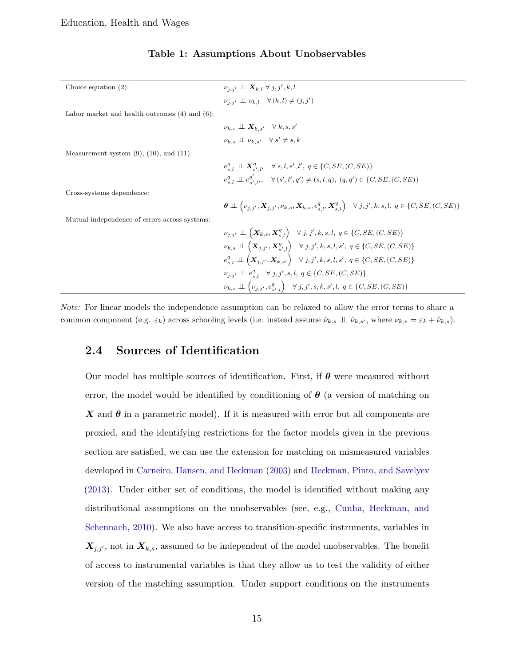<span id="page-15-0"></span>

| Choice equation $(2)$ :                            | $\nu_{i,i'} \perp \!\!\! \perp \mathbf{X}_{k,l} \ \forall \ j,j',k,l$                                                                                                             |
|----------------------------------------------------|-----------------------------------------------------------------------------------------------------------------------------------------------------------------------------------|
|                                                    | $\nu_{i,i'} \perp \!\!\!\perp \nu_{k,l} \quad \forall (k,l) \neq (j,j')$                                                                                                          |
| Labor market and health outcomes $(4)$ and $(6)$ : |                                                                                                                                                                                   |
|                                                    | $\nu_{k,s} \perp \!\!\!\perp X_{k,s'} \quad \forall \, k,s,s'$                                                                                                                    |
|                                                    | $\nu_{k,s} \perp\!\!\!\perp \nu_{k,s'} \quad \forall \; s' \neq s, k$                                                                                                             |
| Measurement system $(9)$ , $(10)$ , and $(11)$ :   |                                                                                                                                                                                   |
|                                                    | $e_{s,l}^q \perp \!\!\! \perp X_{s',l'}^q \quad \forall s,l,s',l',q \in \{C,SE,(C,SE)\}\$                                                                                         |
|                                                    | $e_{s,l}^q \perp \!\!\!\perp e_{s',l'}^{q'}$ , $\forall (s',l',q') \neq (s,l,q), (q,q') \in \{C,SE, (C,SE)\}\$                                                                    |
| Cross-systems dependence:                          |                                                                                                                                                                                   |
|                                                    | $\theta \perp \left( \nu_{j,j'}, \mathbf{X}_{j,j'}, \nu_{k,s}, \mathbf{X}_{k,s}, e_{s,l}^q, \mathbf{X}_{s,l}^q \right) \quad \forall j,j',k,s,l, q \in \{C,SE,(C,SE)\}\$          |
| Mutual independence of errors across systems:      |                                                                                                                                                                                   |
|                                                    | $\nu_{j,j'} \perp\!\!\!\perp \left( \boldsymbol{X}_{k,s}, \boldsymbol{X}^q_{s,l} \right) \quad \forall \, j,j',k,s,l, \; q \in \{C,SE,(C,SE)\}$                                   |
|                                                    | $\nu_{k,s} \perp \left( \bm{X}_{j,j'}, \bm{X}_{s',l}^q \right) \quad \forall j,j',k,s,l,s',\ q \in \{C,SE,(C,SE)\}\$                                                              |
|                                                    | $e_{s,l}^q \perp\!\!\!\perp \left( \boldsymbol{X}_{j,j'}, \boldsymbol{X}_{k,s'} \right) \hspace{0.2cm} \forall \hspace{0.1cm} j,j',k,s,l,s',\hspace{0.1cm} q \in \{C,SE,(C,SE)\}$ |
|                                                    | $\nu_{j,j'} \perp \!\!\!\perp e_{s,l}^q \quad \forall j,j',s,l, q \in \{C,SE,(C,SE)\}\$                                                                                           |
|                                                    | $\nu_{k,s} \perp \!\!\!\perp \left( \nu_{j,j'}, e^q_{s',l} \right) \quad \forall \, j,j',s,k,s',l, \; q \in \{C,SE,(C,SE)\}\$                                                     |

#### Table 1: Assumptions About Unobservables

Note: For linear models the independence assumption can be relaxed to allow the error terms to share a common component (e.g.  $\varepsilon_k$ ) across schooling levels (i.e. instead assume  $\hat{\nu}_{k,s} \perp \hat{\nu}_{k,s'}$ , where  $\nu_{k,s} = \varepsilon_k + \hat{\nu}_{k,s}$ ).

#### 2.4 Sources of Identification

Our model has multiple sources of identification. First, if  $\theta$  were measured without error, the model would be identified by conditioning of  $\theta$  (a version of matching on  $\boldsymbol{X}$  and  $\boldsymbol{\theta}$  in a parametric model). If it is measured with error but all components are proxied, and the identifying restrictions for the factor models given in the previous section are satisfied, we can use the extension for matching on mismeasured variables developed in [Carneiro, Hansen, and Heckman](#page-54-5) [\(2003\)](#page-54-5) and [Heckman, Pinto, and Savelyev](#page-58-7) [\(2013\)](#page-58-7). Under either set of conditions, the model is identified without making any distributional assumptions on the unobservables (see, e.g., [Cunha, Heckman, and](#page-55-5) [Schennach,](#page-55-5) [2010\)](#page-55-5). We also have access to transition-specific instruments, variables in  $X_{j,j'}$ , not in  $X_{k,s}$ , assumed to be independent of the model unobservables. The benefit of access to instrumental variables is that they allow us to test the validity of either version of the matching assumption. Under support conditions on the instruments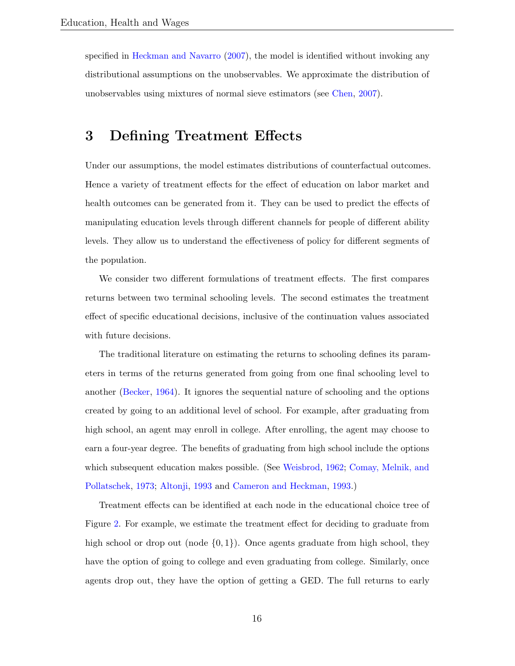specified in [Heckman and Navarro](#page-58-5) [\(2007\)](#page-58-5), the model is identified without invoking any distributional assumptions on the unobservables. We approximate the distribution of unobservables using mixtures of normal sieve estimators (see [Chen,](#page-54-6) [2007\)](#page-54-6).

# <span id="page-16-0"></span>3 Defining Treatment Effects

Under our assumptions, the model estimates distributions of counterfactual outcomes. Hence a variety of treatment effects for the effect of education on labor market and health outcomes can be generated from it. They can be used to predict the effects of manipulating education levels through different channels for people of different ability levels. They allow us to understand the effectiveness of policy for different segments of the population.

We consider two different formulations of treatment effects. The first compares returns between two terminal schooling levels. The second estimates the treatment effect of specific educational decisions, inclusive of the continuation values associated with future decisions.

The traditional literature on estimating the returns to schooling defines its parameters in terms of the returns generated from going from one final schooling level to another [\(Becker,](#page-53-1) [1964\)](#page-53-1). It ignores the sequential nature of schooling and the options created by going to an additional level of school. For example, after graduating from high school, an agent may enroll in college. After enrolling, the agent may choose to earn a four-year degree. The benefits of graduating from high school include the options which subsequent education makes possible. (See [Weisbrod,](#page-60-4) [1962;](#page-60-4) [Comay, Melnik, and](#page-54-3) [Pollatschek,](#page-54-3) [1973;](#page-54-3) [Altonji,](#page-52-4) [1993](#page-52-4) and [Cameron and Heckman,](#page-53-6) [1993.](#page-53-6))

Treatment effects can be identified at each node in the educational choice tree of Figure [2.](#page-10-0) For example, we estimate the treatment effect for deciding to graduate from high school or drop out (node  $\{0, 1\}$ ). Once agents graduate from high school, they have the option of going to college and even graduating from college. Similarly, once agents drop out, they have the option of getting a GED. The full returns to early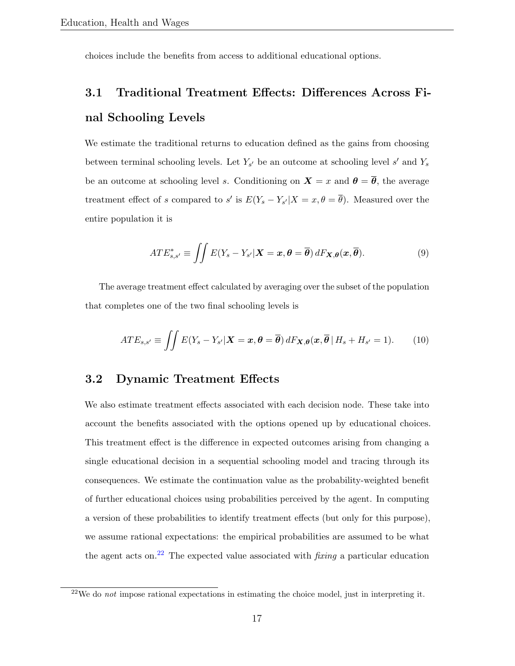choices include the benefits from access to additional educational options.

# 3.1 Traditional Treatment Effects: Differences Across Final Schooling Levels

We estimate the traditional returns to education defined as the gains from choosing between terminal schooling levels. Let  $Y_{s'}$  be an outcome at schooling level s' and  $Y_s$ be an outcome at schooling level s. Conditioning on  $\mathbf{X} = x$  and  $\boldsymbol{\theta} = \overline{\boldsymbol{\theta}}$ , the average treatment effect of s compared to s' is  $E(Y_s - Y_{s'}|X = x, \theta = \overline{\theta})$ . Measured over the entire population it is

$$
ATE_{s,s'}^* \equiv \iint E(Y_s - Y_{s'}|X = x, \theta = \overline{\theta}) dF_{\mathbf{X},\theta}(\mathbf{x}, \overline{\theta}). \tag{9}
$$

The average treatment effect calculated by averaging over the subset of the population that completes one of the two final schooling levels is

$$
ATE_{s,s'} \equiv \iint E(Y_s - Y_{s'}|X = x, \theta = \overline{\theta}) dF_{\mathbf{X},\theta}(x, \overline{\theta} | H_s + H_{s'} = 1).
$$
 (10)

#### 3.2 Dynamic Treatment Effects

We also estimate treatment effects associated with each decision node. These take into account the benefits associated with the options opened up by educational choices. This treatment effect is the difference in expected outcomes arising from changing a single educational decision in a sequential schooling model and tracing through its consequences. We estimate the continuation value as the probability-weighted benefit of further educational choices using probabilities perceived by the agent. In computing a version of these probabilities to identify treatment effects (but only for this purpose), we assume rational expectations: the empirical probabilities are assumed to be what the agent acts on.<sup>[22](#page-17-0)</sup> The expected value associated with *fixing* a particular education

<span id="page-17-0"></span><sup>&</sup>lt;sup>22</sup>We do *not* impose rational expectations in estimating the choice model, just in interpreting it.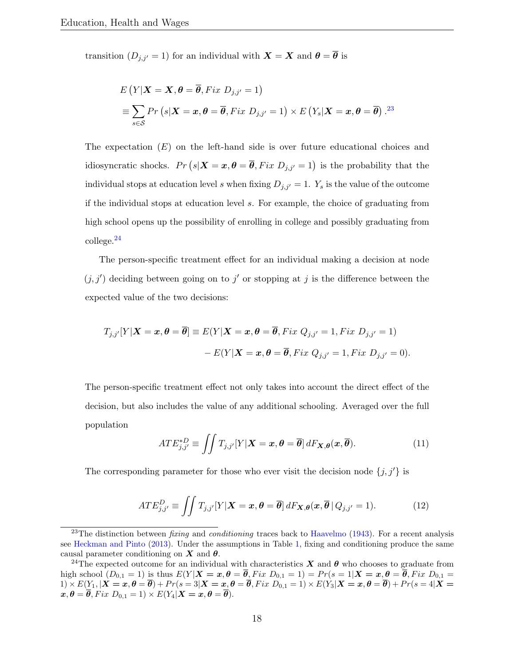transition  $(D_{j,j'}=1)$  for an individual with  $\mathbf{X} = \mathbf{X}$  and  $\boldsymbol{\theta} = \overline{\boldsymbol{\theta}}$  is

$$
E(Y|X = X, \theta = \overline{\theta}, Fix\ D_{j,j'} = 1)
$$
  

$$
\equiv \sum_{s \in S} Pr(s|X = x, \theta = \overline{\theta}, Fix\ D_{j,j'} = 1) \times E(Y_s|X = x, \theta = \overline{\theta}).^{23}
$$

The expectation  $(E)$  on the left-hand side is over future educational choices and idiosyncratic shocks.  $Pr(s|\boldsymbol{X}=\boldsymbol{x}, \boldsymbol{\theta}=\boldsymbol{\overline{\theta}}, Fix D_{j,j'}=1)$  is the probability that the individual stops at education level s when fixing  $D_{j,j'} = 1$ .  $Y_s$  is the value of the outcome if the individual stops at education level s. For example, the choice of graduating from high school opens up the possibility of enrolling in college and possibly graduating from college.[24](#page-18-1)

The person-specific treatment effect for an individual making a decision at node  $(j, j')$  deciding between going on to j' or stopping at j is the difference between the expected value of the two decisions:

$$
T_{j,j'}[Y|\boldsymbol{X}=\boldsymbol{x},\boldsymbol{\theta}=\overline{\boldsymbol{\theta}}]\equiv E(Y|\boldsymbol{X}=\boldsymbol{x},\boldsymbol{\theta}=\overline{\boldsymbol{\theta}}, Fix\ Q_{j,j'}=1, Fix\ D_{j,j'}=1)\\
-E(Y|\boldsymbol{X}=\boldsymbol{x},\boldsymbol{\theta}=\overline{\boldsymbol{\theta}}, Fix\ Q_{j,j'}=1, Fix\ D_{j,j'}=0).
$$

The person-specific treatment effect not only takes into account the direct effect of the decision, but also includes the value of any additional schooling. Averaged over the full population

$$
ATE_{j,j'}^{*D} \equiv \iint T_{j,j'}[Y|\mathbf{X} = \mathbf{x}, \boldsymbol{\theta} = \overline{\boldsymbol{\theta}}] dF_{\mathbf{X},\boldsymbol{\theta}}(\mathbf{x}, \overline{\boldsymbol{\theta}}).
$$
 (11)

The corresponding parameter for those who ever visit the decision node  $\{j, j'\}$  is

$$
ATE_{j,j'}^D \equiv \iint T_{j,j'}[Y|\mathbf{X} = \mathbf{x}, \boldsymbol{\theta} = \overline{\boldsymbol{\theta}}] dF_{\mathbf{X},\boldsymbol{\theta}}(\mathbf{x}, \overline{\boldsymbol{\theta}} \mid Q_{j,j'} = 1).
$$
 (12)

<span id="page-18-0"></span><sup>&</sup>lt;sup>23</sup>The distinction between *fixing* and *conditioning* traces back to [Haavelmo](#page-57-4) [\(1943\)](#page-57-4). For a recent analysis see [Heckman and Pinto](#page-57-5) [\(2013\)](#page-57-5). Under the assumptions in Table [1,](#page-15-0) fixing and conditioning produce the same causal parameter conditioning on  $X$  and  $\theta$ .

<span id="page-18-1"></span><sup>&</sup>lt;sup>24</sup>The expected outcome for an individual with characteristics X and  $\theta$  who chooses to graduate from high school  $(D_{0,1} = 1)$  is thus  $E(Y | X = x, \theta = \overline{\theta}, Fix D_{0,1} = 1) = Pr(s = 1 | X = x, \theta = \overline{\theta}, Fix D_{0,1} = 1)$  $1)\times E(Y_1,|\bm{X=x},\bm{\theta}=\bm{\overline{\theta}})+Pr(s=3|\bm{X=x},\bm{\theta}=\bm{\overline{\theta}}, Fix\ D_{0,1}=1)\times E(Y_3|\bm{X=x},\bm{\theta}=\bm{\overline{\theta}})+Pr(s=4|\bm{X=x},\bm{\theta}=\bm{\overline{\theta}})$  $\mathbf{x}, \boldsymbol{\theta} = \overline{\boldsymbol{\theta}}, Fix D_{0,1} = 1) \times E(Y_4 | \mathbf{X} = \mathbf{x}, \boldsymbol{\theta} = \overline{\boldsymbol{\theta}}).$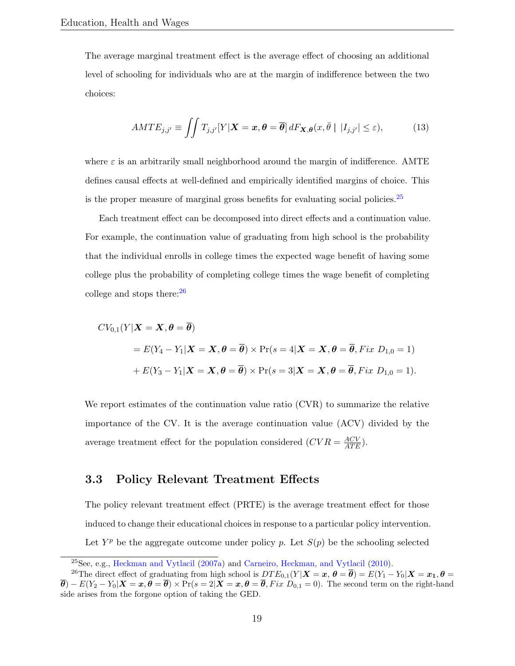The average marginal treatment effect is the average effect of choosing an additional level of schooling for individuals who are at the margin of indifference between the two choices:

$$
AMTE_{j,j'} \equiv \iint T_{j,j'}[Y|\boldsymbol{X}=\boldsymbol{x},\boldsymbol{\theta}=\overline{\boldsymbol{\theta}}] dF_{\boldsymbol{X},\boldsymbol{\theta}}(x,\overline{\theta} \mid |I_{j,j'}| \leq \varepsilon), \tag{13}
$$

where  $\varepsilon$  is an arbitrarily small neighborhood around the margin of indifference. AMTE defines causal effects at well-defined and empirically identified margins of choice. This is the proper measure of marginal gross benefits for evaluating social policies.<sup>[25](#page-19-0)</sup>

Each treatment effect can be decomposed into direct effects and a continuation value. For example, the continuation value of graduating from high school is the probability that the individual enrolls in college times the expected wage benefit of having some college plus the probability of completing college times the wage benefit of completing college and stops there:[26](#page-19-1)

$$
CV_{0,1}(Y|X = X, \theta = \overline{\theta})
$$
  
=  $E(Y_4 - Y_1|X = X, \theta = \overline{\theta}) \times Pr(s = 4|X = X, \theta = \overline{\theta}, Fix D_{1,0} = 1)$   
+  $E(Y_3 - Y_1|X = X, \theta = \overline{\theta}) \times Pr(s = 3|X = X, \theta = \overline{\theta}, Fix D_{1,0} = 1).$ 

We report estimates of the continuation value ratio (CVR) to summarize the relative importance of the CV. It is the average continuation value (ACV) divided by the average treatment effect for the population considered  $(CVR = \frac{ACV}{ATE})$ .

#### 3.3 Policy Relevant Treatment Effects

The policy relevant treatment effect (PRTE) is the average treatment effect for those induced to change their educational choices in response to a particular policy intervention. Let  $Y^p$  be the aggregate outcome under policy p. Let  $S(p)$  be the schooling selected

<span id="page-19-1"></span><span id="page-19-0"></span><sup>25</sup>See, e.g., [Heckman and Vytlacil](#page-59-6) [\(2007a\)](#page-59-6) and [Carneiro, Heckman, and Vytlacil](#page-54-7) [\(2010\)](#page-54-7).

<sup>&</sup>lt;sup>26</sup>The direct effect of graduating from high school is  $DTE_{0,1}(Y|\boldsymbol{X}=\boldsymbol{x}, \boldsymbol{\theta}) = E(Y_1 - Y_0|\boldsymbol{X}=\boldsymbol{x}_1, \boldsymbol{\theta})$  $\overline{\theta}$ ) –  $E(Y_2 - Y_0|\mathbf{X} = \mathbf{x}, \theta = \overline{\theta}) \times \Pr(s = 2|\mathbf{X} = \mathbf{x}, \theta = \overline{\theta}, Fix \ D_{0,1} = 0)$ . The second term on the right-hand side arises from the forgone option of taking the GED.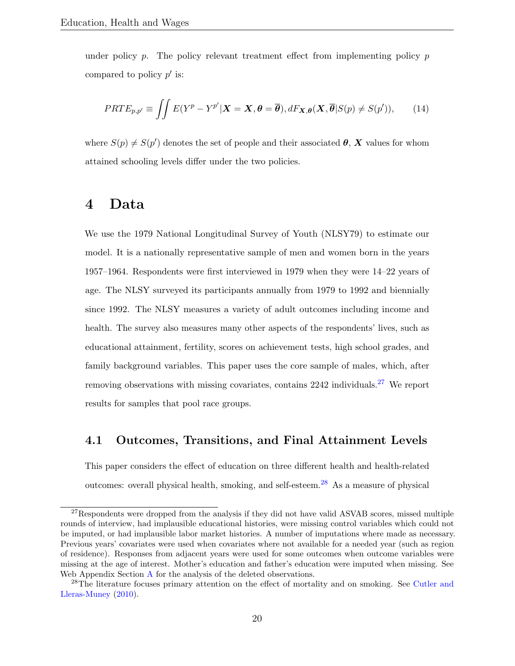under policy  $p$ . The policy relevant treatment effect from implementing policy  $p$ compared to policy  $p'$  is:

$$
PRTE_{p,p'} \equiv \iint E(Y^p - Y^{p'} | \mathbf{X} = \mathbf{X}, \boldsymbol{\theta} = \overline{\boldsymbol{\theta}}), dF_{\mathbf{X},\boldsymbol{\theta}}(\mathbf{X}, \overline{\boldsymbol{\theta}} | S(p) \neq S(p')), \qquad (14)
$$

where  $S(p) \neq S(p')$  denotes the set of people and their associated  $\theta$ , X values for whom attained schooling levels differ under the two policies.

## 4 Data

We use the 1979 National Longitudinal Survey of Youth (NLSY79) to estimate our model. It is a nationally representative sample of men and women born in the years 1957–1964. Respondents were first interviewed in 1979 when they were 14–22 years of age. The NLSY surveyed its participants annually from 1979 to 1992 and biennially since 1992. The NLSY measures a variety of adult outcomes including income and health. The survey also measures many other aspects of the respondents' lives, such as educational attainment, fertility, scores on achievement tests, high school grades, and family background variables. This paper uses the core sample of males, which, after removing observations with missing covariates, contains 2242 individuals.[27](#page-20-0) We report results for samples that pool race groups.

#### 4.1 Outcomes, Transitions, and Final Attainment Levels

This paper considers the effect of education on three different health and health-related outcomes: overall physical health, smoking, and self-esteem.[28](#page-20-1) As a measure of physical

<span id="page-20-0"></span><sup>&</sup>lt;sup>27</sup>Respondents were dropped from the analysis if they did not have valid ASVAB scores, missed multiple rounds of interview, had implausible educational histories, were missing control variables which could not be imputed, or had implausible labor market histories. A number of imputations where made as necessary. Previous years' covariates were used when covariates where not available for a needed year (such as region of residence). Responses from adjacent years were used for some outcomes when outcome variables were missing at the age of interest. Mother's education and father's education were imputed when missing. See Web [A](#page--1-0)ppendix Section A for the analysis of the deleted observations.

<span id="page-20-1"></span><sup>&</sup>lt;sup>28</sup>The literature focuses primary attention on the effect of mortality and on smoking. See [Cutler and](#page-55-0) [Lleras-Muney](#page-55-0) [\(2010\)](#page-55-0).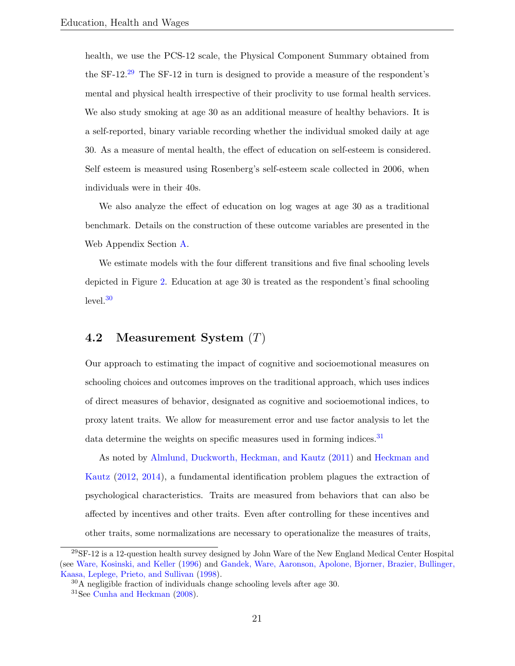health, we use the PCS-12 scale, the Physical Component Summary obtained from the SF-12.<sup>[29](#page-21-0)</sup> The SF-12 in turn is designed to provide a measure of the respondent's mental and physical health irrespective of their proclivity to use formal health services. We also study smoking at age 30 as an additional measure of healthy behaviors. It is a self-reported, binary variable recording whether the individual smoked daily at age 30. As a measure of mental health, the effect of education on self-esteem is considered. Self esteem is measured using Rosenberg's self-esteem scale collected in 2006, when individuals were in their 40s.

We also analyze the effect of education on log wages at age 30 as a traditional benchmark. Details on the construction of these outcome variables are presented in the Web Appendix Section [A.](#page--1-0)

We estimate models with the four different transitions and five final schooling levels depicted in Figure [2.](#page-10-0) Education at age 30 is treated as the respondent's final schooling  $level.<sup>30</sup>$  $level.<sup>30</sup>$  $level.<sup>30</sup>$ 

#### 4.2 Measurement System (T)

Our approach to estimating the impact of cognitive and socioemotional measures on schooling choices and outcomes improves on the traditional approach, which uses indices of direct measures of behavior, designated as cognitive and socioemotional indices, to proxy latent traits. We allow for measurement error and use factor analysis to let the data determine the weights on specific measures used in forming indices. $31$ 

As noted by [Almlund, Duckworth, Heckman, and Kautz](#page-52-3) [\(2011\)](#page-52-3) and [Heckman and](#page-57-6) [Kautz](#page-57-6) [\(2012,](#page-57-6) [2014\)](#page-58-8), a fundamental identification problem plagues the extraction of psychological characteristics. Traits are measured from behaviors that can also be affected by incentives and other traits. Even after controlling for these incentives and other traits, some normalizations are necessary to operationalize the measures of traits,

<span id="page-21-0"></span><sup>29</sup>SF-12 is a 12-question health survey designed by John Ware of the New England Medical Center Hospital (see [Ware, Kosinski, and Keller](#page-60-8) [\(1996\)](#page-60-8) and [Gandek, Ware, Aaronson, Apolone, Bjorner, Brazier, Bullinger,](#page-56-8) [Kaasa, Leplege, Prieto, and Sullivan](#page-56-8) [\(1998\)](#page-56-8).

<span id="page-21-1"></span> $30$ A negligible fraction of individuals change schooling levels after age 30.

<span id="page-21-2"></span><sup>31</sup>See [Cunha and Heckman](#page-55-6) [\(2008\)](#page-55-6).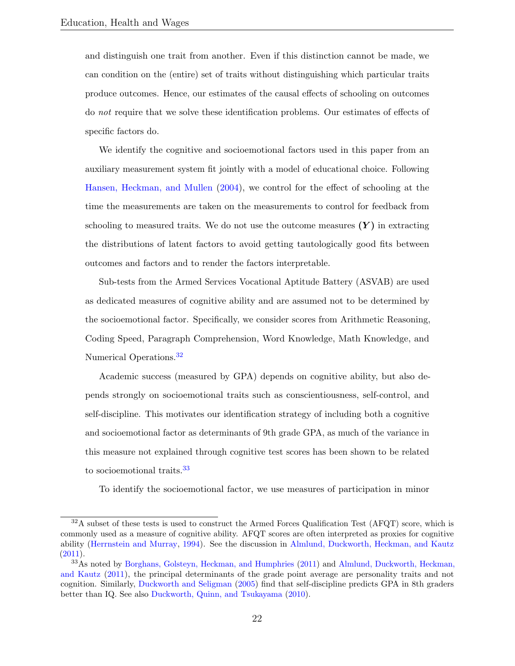and distinguish one trait from another. Even if this distinction cannot be made, we can condition on the (entire) set of traits without distinguishing which particular traits produce outcomes. Hence, our estimates of the causal effects of schooling on outcomes do not require that we solve these identification problems. Our estimates of effects of specific factors do.

We identify the cognitive and socioemotional factors used in this paper from an auxiliary measurement system fit jointly with a model of educational choice. Following [Hansen, Heckman, and Mullen](#page-57-7) [\(2004\)](#page-57-7), we control for the effect of schooling at the time the measurements are taken on the measurements to control for feedback from schooling to measured traits. We do not use the outcome measures  $(Y)$  in extracting the distributions of latent factors to avoid getting tautologically good fits between outcomes and factors and to render the factors interpretable.

Sub-tests from the Armed Services Vocational Aptitude Battery (ASVAB) are used as dedicated measures of cognitive ability and are assumed not to be determined by the socioemotional factor. Specifically, we consider scores from Arithmetic Reasoning, Coding Speed, Paragraph Comprehension, Word Knowledge, Math Knowledge, and Numerical Operations.<sup>[32](#page-22-0)</sup>

Academic success (measured by GPA) depends on cognitive ability, but also depends strongly on socioemotional traits such as conscientiousness, self-control, and self-discipline. This motivates our identification strategy of including both a cognitive and socioemotional factor as determinants of 9th grade GPA, as much of the variance in this measure not explained through cognitive test scores has been shown to be related to socioemotional traits.<sup>[33](#page-22-1)</sup>

To identify the socioemotional factor, we use measures of participation in minor

<span id="page-22-0"></span> $32A$  subset of these tests is used to construct the Armed Forces Qualification Test (AFQT) score, which is commonly used as a measure of cognitive ability. AFQT scores are often interpreted as proxies for cognitive ability [\(Herrnstein and Murray,](#page-59-8) [1994\)](#page-59-8). See the discussion in [Almlund, Duckworth, Heckman, and Kautz](#page-52-3)  $(2011).$  $(2011).$ 

<span id="page-22-1"></span><sup>33</sup>As noted by [Borghans, Golsteyn, Heckman, and Humphries](#page-53-8) [\(2011\)](#page-53-8) and [Almlund, Duckworth, Heckman,](#page-52-3) [and Kautz](#page-52-3) [\(2011\)](#page-52-3), the principal determinants of the grade point average are personality traits and not cognition. Similarly, [Duckworth and Seligman](#page-55-7) [\(2005\)](#page-55-7) find that self-discipline predicts GPA in 8th graders better than IQ. See also [Duckworth, Quinn, and Tsukayama](#page-55-8) [\(2010\)](#page-55-8).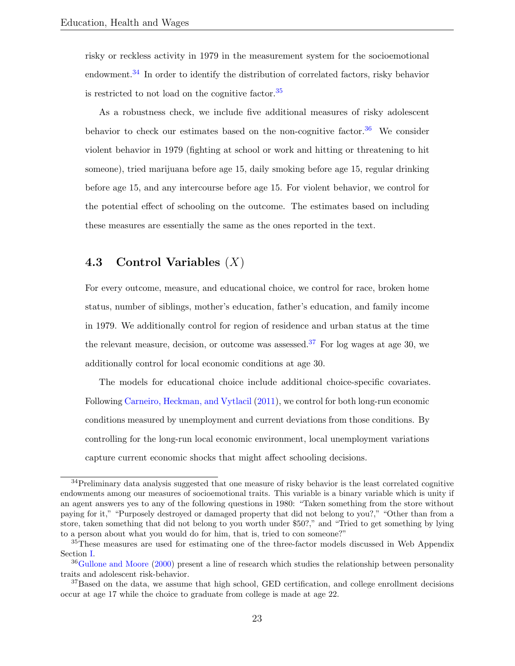risky or reckless activity in 1979 in the measurement system for the socioemotional endowment.<sup>[34](#page-23-0)</sup> In order to identify the distribution of correlated factors, risky behavior is restricted to not load on the cognitive factor.[35](#page-23-1)

As a robustness check, we include five additional measures of risky adolescent behavior to check our estimates based on the non-cognitive factor.<sup>[36](#page-23-2)</sup> We consider violent behavior in 1979 (fighting at school or work and hitting or threatening to hit someone), tried marijuana before age 15, daily smoking before age 15, regular drinking before age 15, and any intercourse before age 15. For violent behavior, we control for the potential effect of schooling on the outcome. The estimates based on including these measures are essentially the same as the ones reported in the text.

#### 4.3 Control Variables  $(X)$

For every outcome, measure, and educational choice, we control for race, broken home status, number of siblings, mother's education, father's education, and family income in 1979. We additionally control for region of residence and urban status at the time the relevant measure, decision, or outcome was assessed.<sup>[37](#page-23-3)</sup> For log wages at age 30, we additionally control for local economic conditions at age 30.

The models for educational choice include additional choice-specific covariates. Following [Carneiro, Heckman, and Vytlacil](#page-54-0) [\(2011\)](#page-54-0), we control for both long-run economic conditions measured by unemployment and current deviations from those conditions. By controlling for the long-run local economic environment, local unemployment variations capture current economic shocks that might affect schooling decisions.

<span id="page-23-0"></span><sup>&</sup>lt;sup>34</sup>Preliminary data analysis suggested that one measure of risky behavior is the least correlated cognitive endowments among our measures of socioemotional traits. This variable is a binary variable which is unity if an agent answers yes to any of the following questions in 1980: "Taken something from the store without paying for it," "Purposely destroyed or damaged property that did not belong to you?," "Other than from a store, taken something that did not belong to you worth under \$50?," and "Tried to get something by lying to a person about what you would do for him, that is, tried to con someone?"

<span id="page-23-1"></span><sup>&</sup>lt;sup>35</sup>These measures are used for estimating one of the three-factor models discussed in Web Appendix Section [I.](#page--1-0)

<span id="page-23-2"></span><sup>&</sup>lt;sup>36</sup>[Gullone and Moore](#page-57-8) [\(2000\)](#page-57-8) present a line of research which studies the relationship between personality traits and adolescent risk-behavior.

<span id="page-23-3"></span> $37B$ ased on the data, we assume that high school, GED certification, and college enrollment decisions occur at age 17 while the choice to graduate from college is made at age 22.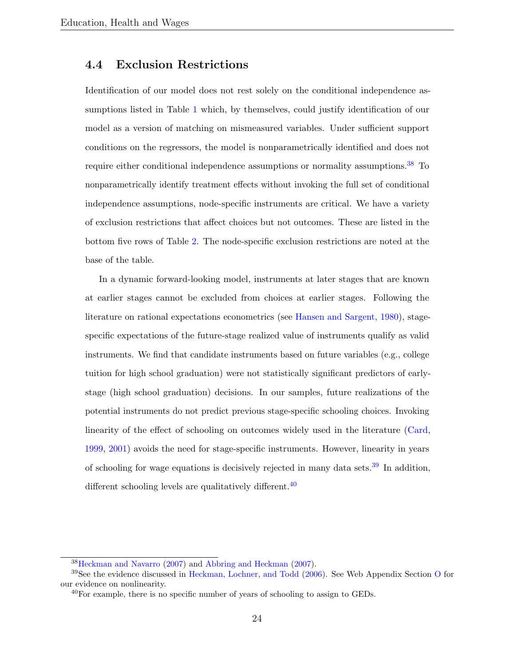#### 4.4 Exclusion Restrictions

Identification of our model does not rest solely on the conditional independence assumptions listed in Table [1](#page-15-0) which, by themselves, could justify identification of our model as a version of matching on mismeasured variables. Under sufficient support conditions on the regressors, the model is nonparametrically identified and does not require either conditional independence assumptions or normality assumptions.<sup>[38](#page-24-0)</sup> To nonparametrically identify treatment effects without invoking the full set of conditional independence assumptions, node-specific instruments are critical. We have a variety of exclusion restrictions that affect choices but not outcomes. These are listed in the bottom five rows of Table [2.](#page-25-0) The node-specific exclusion restrictions are noted at the base of the table.

In a dynamic forward-looking model, instruments at later stages that are known at earlier stages cannot be excluded from choices at earlier stages. Following the literature on rational expectations econometrics (see [Hansen and Sargent,](#page-57-9) [1980\)](#page-57-9), stagespecific expectations of the future-stage realized value of instruments qualify as valid instruments. We find that candidate instruments based on future variables (e.g., college tuition for high school graduation) were not statistically significant predictors of earlystage (high school graduation) decisions. In our samples, future realizations of the potential instruments do not predict previous stage-specific schooling choices. Invoking linearity of the effect of schooling on outcomes widely used in the literature [\(Card,](#page-54-1) [1999,](#page-54-1) [2001\)](#page-54-8) avoids the need for stage-specific instruments. However, linearity in years of schooling for wage equations is decisively rejected in many data sets.<sup>[39](#page-24-1)</sup> In addition, different schooling levels are qualitatively different.<sup>[40](#page-24-2)</sup>

<span id="page-24-1"></span><span id="page-24-0"></span><sup>38</sup>[Heckman and Navarro](#page-58-5) [\(2007\)](#page-58-5) and [Abbring and Heckman](#page-52-6) [\(2007\)](#page-52-6).

<sup>&</sup>lt;sup>39</sup>See the evidence discussed in [Heckman, Lochner, and Todd](#page-58-1) [\(2006\)](#page-58-1). See Web Appendix Section [O](#page--1-0) for our evidence on nonlinearity.

<span id="page-24-2"></span> $^{40}$ For example, there is no specific number of years of schooling to assign to GEDs.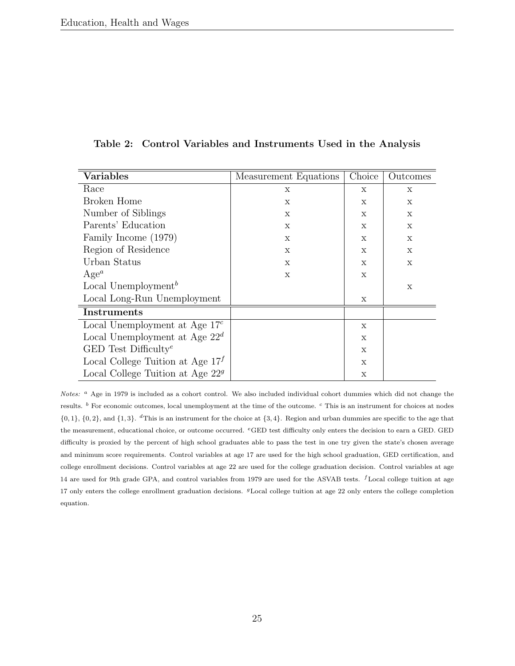| <b>Variables</b>                    | Measurement Equations | Choice       | Outcomes                  |
|-------------------------------------|-----------------------|--------------|---------------------------|
| Race                                | X                     | X            | $\boldsymbol{\mathrm{X}}$ |
| Broken Home                         | X                     | X            | X                         |
| Number of Siblings                  | X                     | $\mathbf{x}$ | $\boldsymbol{\mathrm{X}}$ |
| Parents' Education                  | X                     | X            | $\mathbf x$               |
| Family Income (1979)                | $\mathbf{x}$          | X            | $\mathbf x$               |
| Region of Residence                 | X                     | X            | X                         |
| Urban Status                        | $\mathbf{x}$          | $\mathbf{x}$ | $\mathbf x$               |
| $Age^a$                             | X                     | X            |                           |
| Local Unemployment <sup>b</sup>     |                       |              | X                         |
| Local Long-Run Unemployment         |                       | X            |                           |
| Instruments                         |                       |              |                           |
| Local Unemployment at Age $17c$     |                       | X            |                           |
| Local Unemployment at Age $22^d$    |                       | X            |                           |
| GED Test Difficulty <sup>e</sup>    |                       | X            |                           |
| Local College Tuition at Age $17^f$ |                       | $\mathbf{x}$ |                           |
| Local College Tuition at Age $22g$  |                       | X            |                           |

<span id="page-25-0"></span>Table 2: Control Variables and Instruments Used in the Analysis

Notes:  $a$  Age in 1979 is included as a cohort control. We also included individual cohort dummies which did not change the results. <sup>b</sup> For economic outcomes, local unemployment at the time of the outcome. <sup>c</sup> This is an instrument for choices at nodes  $\{0,1\}$ ,  $\{0,2\}$ , and  $\{1,3\}$ . <sup>d</sup>This is an instrument for the choice at  $\{3,4\}$ . Region and urban dummies are specific to the age that the measurement, educational choice, or outcome occurred. <sup>e</sup>GED test difficulty only enters the decision to earn a GED. GED difficulty is proxied by the percent of high school graduates able to pass the test in one try given the state's chosen average and minimum score requirements. Control variables at age 17 are used for the high school graduation, GED certification, and college enrollment decisions. Control variables at age 22 are used for the college graduation decision. Control variables at age 14 are used for 9th grade GPA, and control variables from 1979 are used for the ASVAB tests. *f* Local college tuition at age 17 only enters the college enrollment graduation decisions. <sup>g</sup>Local college tuition at age 22 only enters the college completion equation.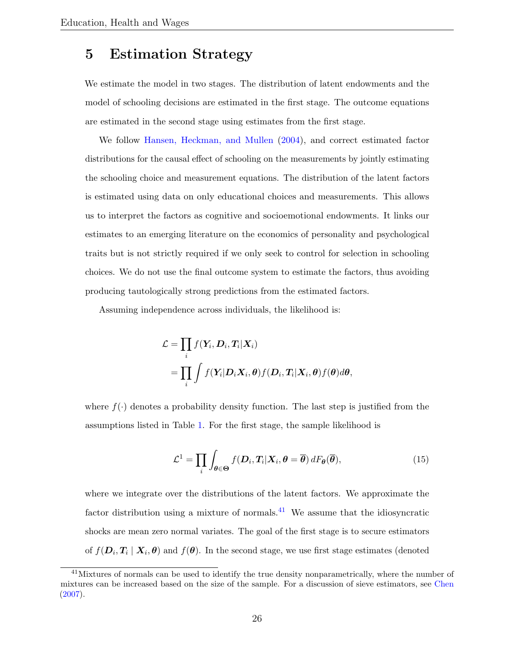## 5 Estimation Strategy

We estimate the model in two stages. The distribution of latent endowments and the model of schooling decisions are estimated in the first stage. The outcome equations are estimated in the second stage using estimates from the first stage.

We follow [Hansen, Heckman, and Mullen](#page-57-7) [\(2004\)](#page-57-7), and correct estimated factor distributions for the causal effect of schooling on the measurements by jointly estimating the schooling choice and measurement equations. The distribution of the latent factors is estimated using data on only educational choices and measurements. This allows us to interpret the factors as cognitive and socioemotional endowments. It links our estimates to an emerging literature on the economics of personality and psychological traits but is not strictly required if we only seek to control for selection in schooling choices. We do not use the final outcome system to estimate the factors, thus avoiding producing tautologically strong predictions from the estimated factors.

Assuming independence across individuals, the likelihood is:

$$
\mathcal{L} = \prod_i f(\mathbf{Y}_i, \mathbf{D}_i, \mathbf{T}_i | \mathbf{X}_i)
$$
  
= 
$$
\prod_i \int f(\mathbf{Y}_i | \mathbf{D}_i \mathbf{X}_i, \theta) f(\mathbf{D}_i, \mathbf{T}_i | \mathbf{X}_i, \theta) f(\theta) d\theta,
$$

where  $f(\cdot)$  denotes a probability density function. The last step is justified from the assumptions listed in Table [1.](#page-15-0) For the first stage, the sample likelihood is

$$
\mathcal{L}^1 = \prod_i \int_{\theta \in \Theta} f(\mathbf{D}_i, \mathbf{T}_i | \mathbf{X}_i, \theta = \overline{\theta}) \, dF_{\theta}(\overline{\theta}), \tag{15}
$$

where we integrate over the distributions of the latent factors. We approximate the factor distribution using a mixture of normals.<sup>[41](#page-26-0)</sup> We assume that the idiosyncratic shocks are mean zero normal variates. The goal of the first stage is to secure estimators of  $f(\bm{D}_i, \bm{T}_i \mid \bm{X}_i, \bm{\theta})$  and  $f(\bm{\theta})$ . In the second stage, we use first stage estimates (denoted

<span id="page-26-0"></span><sup>&</sup>lt;sup>41</sup>Mixtures of normals can be used to identify the true density nonparametrically, where the number of mixtures can be increased based on the size of the sample. For a discussion of sieve estimators, see [Chen](#page-54-6)  $(2007).$  $(2007).$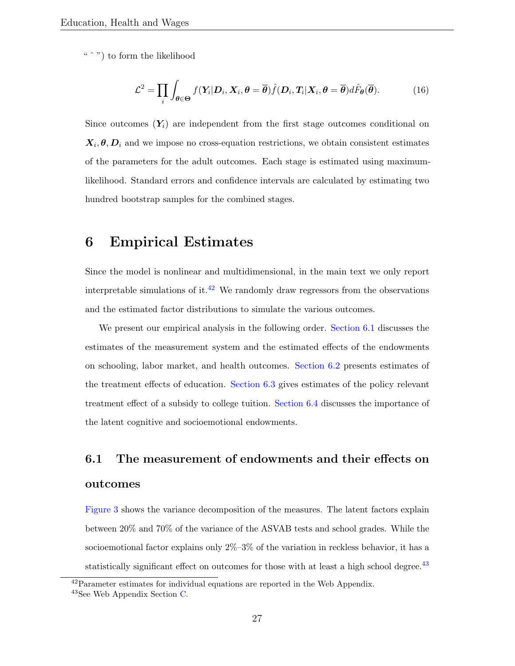"  $\degree$ " to form the likelihood

$$
\mathcal{L}^2 = \prod_i \int_{\theta \in \Theta} f(\mathbf{Y}_i | \mathbf{D}_i, \mathbf{X}_i, \theta = \overline{\theta}) \hat{f}(\mathbf{D}_i, \mathbf{T}_i | \mathbf{X}_i, \theta = \overline{\theta}) d\hat{F}_{\theta}(\overline{\theta}). \tag{16}
$$

Since outcomes  $(Y_i)$  are independent from the first stage outcomes conditional on  $X_i, \theta, D_i$  and we impose no cross-equation restrictions, we obtain consistent estimates of the parameters for the adult outcomes. Each stage is estimated using maximumlikelihood. Standard errors and confidence intervals are calculated by estimating two hundred bootstrap samples for the combined stages.

## 6 Empirical Estimates

Since the model is nonlinear and multidimensional, in the main text we only report interpretable simulations of it.<sup>[42](#page-27-0)</sup> We randomly draw regressors from the observations and the estimated factor distributions to simulate the various outcomes.

We present our empirical analysis in the following order. [Section](#page-27-1) [6.1](#page-27-1) discusses the estimates of the measurement system and the estimated effects of the endowments on schooling, labor market, and health outcomes. [Section](#page-37-0) [6.2](#page-37-0) presents estimates of the treatment effects of education. [Section](#page-45-0) [6.3](#page-45-0) gives estimates of the policy relevant treatment effect of a subsidy to college tuition. [Section](#page-37-0) [6.4](#page-48-0) discusses the importance of the latent cognitive and socioemotional endowments.

# <span id="page-27-1"></span>6.1 The measurement of endowments and their effects on outcomes

[Figure](#page-29-0) [3](#page-29-0) shows the variance decomposition of the measures. The latent factors explain between 20% and 70% of the variance of the ASVAB tests and school grades. While the socioemotional factor explains only 2%–3% of the variation in reckless behavior, it has a statistically significant effect on outcomes for those with at least a high school degree. $43$ 

<span id="page-27-0"></span> $^{42}$ Parameter estimates for individual equations are reported in the Web Appendix.

<span id="page-27-2"></span><sup>43</sup>See Web Appendix Section [C.](#page--1-0)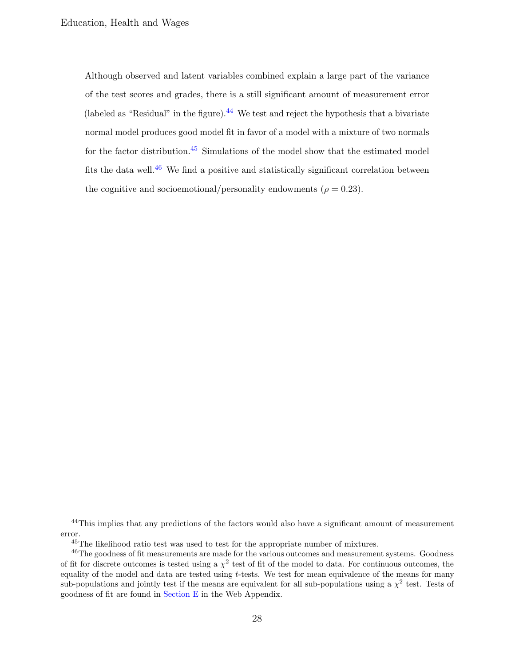Although observed and latent variables combined explain a large part of the variance of the test scores and grades, there is a still significant amount of measurement error (labeled as "Residual" in the figure).<sup>[44](#page-28-0)</sup> We test and reject the hypothesis that a bivariate normal model produces good model fit in favor of a model with a mixture of two normals for the factor distribution.[45](#page-28-1) Simulations of the model show that the estimated model fits the data well.<sup>[46](#page-28-2)</sup> We find a positive and statistically significant correlation between the cognitive and socioemotional/personality endowments ( $\rho = 0.23$ ).

<span id="page-28-0"></span><sup>&</sup>lt;sup>44</sup>This implies that any predictions of the factors would also have a significant amount of measurement error.

<span id="page-28-2"></span><span id="page-28-1"></span><sup>45</sup>The likelihood ratio test was used to test for the appropriate number of mixtures.

<sup>46</sup>The goodness of fit measurements are made for the various outcomes and measurement systems. Goodness of fit for discrete outcomes is tested using a  $\chi^2$  test of fit of the model to data. For continuous outcomes, the equality of the model and data are tested using  $t$ -tests. We test for mean equivalence of the means for many sub-populations and jointly test if the means are equivalent for all sub-populations using a  $\chi^2$  test. Tests of goodness of fit are found in [Section](#page--1-0) [E](#page--1-0) in the Web Appendix.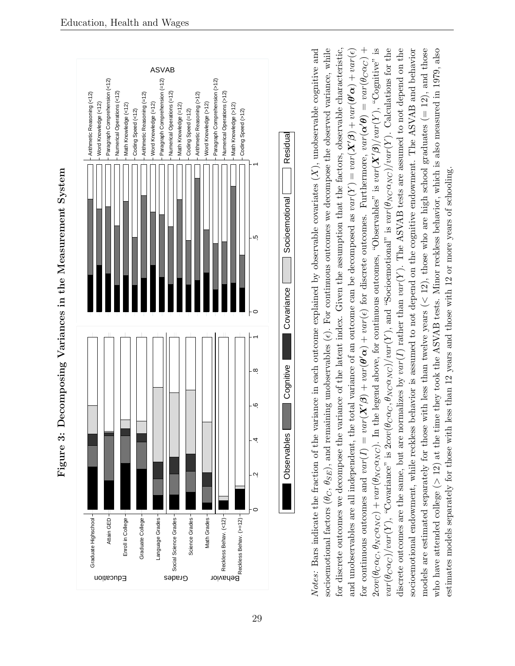

<span id="page-29-0"></span>

Notes: Bass indicate the fraction of the variance in each outcome explained by observable covariates  $(X)$ , unobservable ognitive and<br>socioentorional factors  $(\theta_C, \theta_{SE})$ , and remaining unobservables  $(e)$ . For continuous ou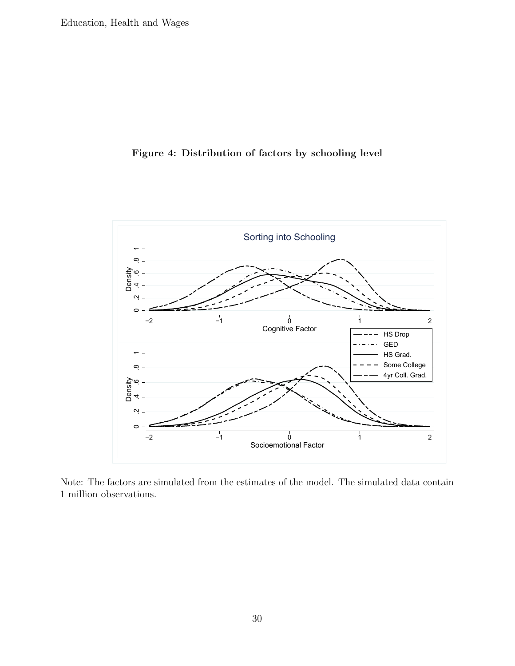#### <span id="page-30-0"></span>Figure 4: Distribution of factors by schooling level



Note: The factors are simulated from the estimates of the model. The simulated data contain 1 million observations.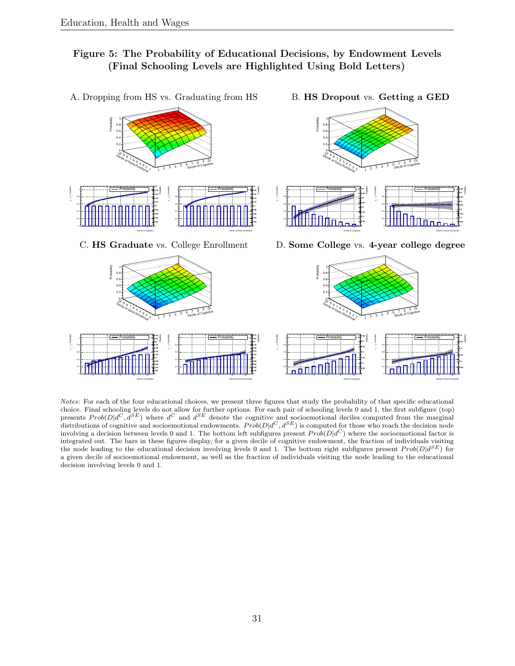Decile of Cognitive

**0 0.02**

0

2 4 6 8 10

٥L

#### <span id="page-31-0"></span>Figure 5: The Probability of Educational Decisions, by Endowment Levels (Final Schooling Levels are Highlighted Using Bold Letters)

A. Dropping from HS vs. Graduating from HS B. HS Dropout vs. Getting a GED Probability Probability 1 f 1 f 0.8  $0.8 -$ 0.6 0.6  $0.4 +$  $0.4 -$ 0.2  $0.2 ^{0}$  $^{0+}$ 10 10 9. 9, People of Socio-Emotional The Community of Secretary Contribution People of Socio-Emotional Transmitter of Decile of Cognitive 8 8 7 7 6 6 5 5 8 8 4  $5^{6}$   $7^{16}$ Pecile of Cognitive 4  $5 - 6$  7 Decile of Cognitive 3 3 3 4 3 4 2 2, 1 2 1 2 1 1 **0.2 0.2** Probability **Fraction** Probability **Fraction** Probability **Fraction** Probability Probability Probability Probability **0.4** Probability **0.45** 11 **0.18** 11 **0.18** 11 11 **0.35 0.4 0.16 0.16** 0.8 0.8 0.8 0.8 - y - y - y **0.3** - y **0.35 0.14 0.14 0.12 0.12 0.3 0.25** 0.6 0.6 0.6 0.6 **0.25 0.1 0.1 0.2 0.2 0.08 0.08** 0.4 0.4 0.4 0.4 **0.15 0.15 0.06 0.06 0.1 0.1** 0.2 **0.04** 0.2 **0.04** 0.2 0.2 **0.02 0.02 0.05 0.05** ٥L **0** o L **0** ٥L **0** ٥. **0** 2 4 6 8 10 2 4 6 8 10 2 4 6 8 10 2 4 6 8 10 Decile of Cognitive Decile of Socio-Emotional Decile of Cognitive Decile of Socio-Emotional C. HS Graduate vs. College Enrollment D. Some College vs. 4-year college degree Probability 1 J Probability 14 0.8  $0.8 +$ 0.6  $0.6 -$ 0.4  $0.4 -$ 0.2  $0.2 -$ 0 04 10 10 9. 9, Decide of Socio-Emotional Transmitter of The Decision Cognitive Decide of Socio-Emotional Accountmn Control of Cognitive 8 8 7 7 6 6 5 8 5 8 4  $5 - 6 = 7$ 4  $5 - 6$  7 Decile of Cognitive Decile of Cognitive 3 3 3 4 3 4 2 2, 1 2 1 2 1 1 Probability Probability **20.24 Fraction** Probability Probability **District Fraction** Probability **Fraction** Probability Probability **20.35** Probability **2**<sup>6.3</sup> 11 11 11 11 **0.22 0.22 0.2 0.2 0.3 0.25** 0.8 **0.18** 0.8 **0.18** 0.8 0.8 - y - y - y r **0.25 0.16 0.16 0.2 0.14** 0.6 **0.14** 0.6 0.6 **0.2** 0.6 **0.12 0.12 0.15 0.1 0.1 0.15** 0.4 0.4 0.4 0.4 **0.08 0.08 0.1 0.1 0.06 0.06** пnП 0.2 0.2 0.2  $0.2 +$ **0.04 0.04 0.05 0.05**

Notes: For each of the four educational choices, we present three figures that study the probability of that specific educational choice. Final schooling levels do not allow for further options. For each pair of schooling levels 0 and 1, the first subfigure (top) presents  $Prob(D|d^C, d^{SE})$  where  $d^C$  and  $d^{SE}$  denote the cognitive and socioemotional deciles computed from the marginal distributions of cognitive and socioemotional endowments.  $Prob(D|d^C, d^{SE})$  is computed for those who reach the decision node involving a decision between levels 0 and 1. The bottom left subfigures present  $Prob(D|d^C)$  where the socioemotional factor is integrated out. The bars in these figures display, for a given decile of cognitive endowment, the fraction of individuals visiting the node leading to the educational decision involving levels 0 and 1. The bottom right subfigures present  $Prob(D|d^{SE})$  for a given decile of socioemotional endowment, as well as the fraction of individuals visiting the node leading to the educational decision involving levels 0 and 1.

Decile of Socio-Emotional

**0 0.02**

٥L

2 4 6 8 10

Decile of Cognitive

**0**

٥I.

2 4 6 8 10

**Fraction**

Decile of Socio-Emotional

**Fraction**

**0**

2 4 6 8 10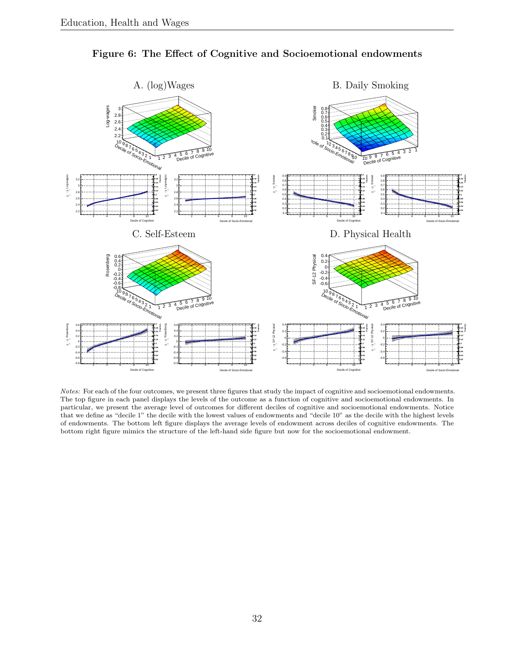<span id="page-32-0"></span>

Figure 6: The Effect of Cognitive and Socioemotional endowments

Notes: For each of the four outcomes, we present three figures that study the impact of cognitive and socioemotional endowments. The top figure in each panel displays the levels of the outcome as a function of cognitive and socioemotional endowments. In particular, we present the average level of outcomes for different deciles of cognitive and socioemotional endowments. Notice that we define as "decile 1" the decile with the lowest values of endowments and "decile 10" as the decile with the highest levels of endowments. The bottom left figure displays the average levels of endowment across deciles of cognitive endowments. The bottom right figure mimics the structure of the left-hand side figure but now for the socioemotional endowment.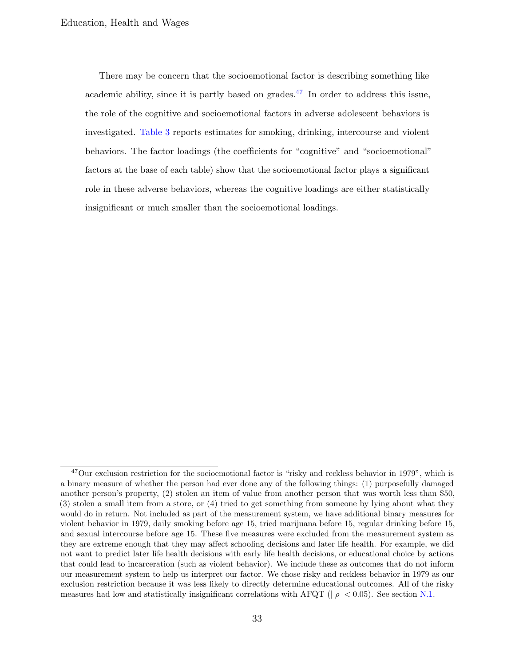There may be concern that the socioemotional factor is describing something like academic ability, since it is partly based on grades.<sup>[47](#page-33-0)</sup> In order to address this issue, the role of the cognitive and socioemotional factors in adverse adolescent behaviors is investigated. [Table](#page-34-0) [3](#page-34-0) reports estimates for smoking, drinking, intercourse and violent behaviors. The factor loadings (the coefficients for "cognitive" and "socioemotional" factors at the base of each table) show that the socioemotional factor plays a significant role in these adverse behaviors, whereas the cognitive loadings are either statistically insignificant or much smaller than the socioemotional loadings.

<span id="page-33-0"></span><sup>&</sup>lt;sup>47</sup>Our exclusion restriction for the socioemotional factor is "risky and reckless behavior in 1979", which is a binary measure of whether the person had ever done any of the following things: (1) purposefully damaged another person's property, (2) stolen an item of value from another person that was worth less than \$50, (3) stolen a small item from a store, or (4) tried to get something from someone by lying about what they would do in return. Not included as part of the measurement system, we have additional binary measures for violent behavior in 1979, daily smoking before age 15, tried marijuana before 15, regular drinking before 15, and sexual intercourse before age 15. These five measures were excluded from the measurement system as they are extreme enough that they may affect schooling decisions and later life health. For example, we did not want to predict later life health decisions with early life health decisions, or educational choice by actions that could lead to incarceration (such as violent behavior). We include these as outcomes that do not inform our measurement system to help us interpret our factor. We chose risky and reckless behavior in 1979 as our exclusion restriction because it was less likely to directly determine educational outcomes. All of the risky measures had low and statistically insignificant correlations with AFQT ( $| \rho | < 0.05$ ). See section [N.1.](#page--1-0)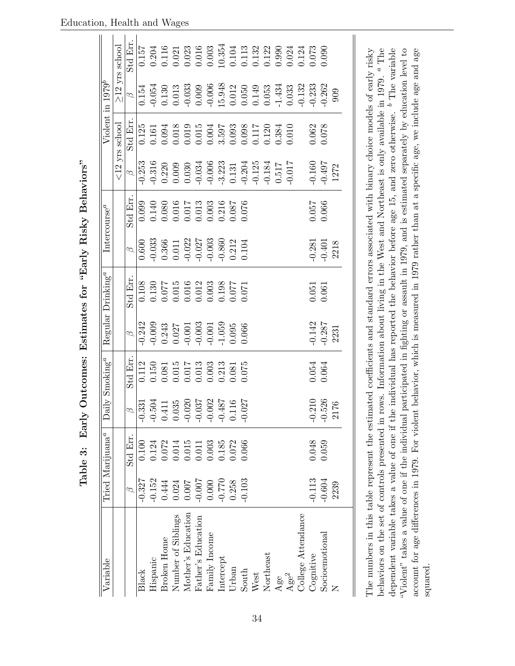<span id="page-34-0"></span>

| Variable                                                                                                                                           |               | Tried Marijuana <sup>a</sup> |                                                                                | Daily Smoking <sup>a</sup> |                     | Regular Drinking <sup>a</sup> |                                  | Intercourse <sup>a</sup> |               |                    | Violent in $1979^b$                                    |                                                        |
|----------------------------------------------------------------------------------------------------------------------------------------------------|---------------|------------------------------|--------------------------------------------------------------------------------|----------------------------|---------------------|-------------------------------|----------------------------------|--------------------------|---------------|--------------------|--------------------------------------------------------|--------------------------------------------------------|
|                                                                                                                                                    |               |                              |                                                                                |                            |                     |                               |                                  |                          |               | $<\!12$ yrs school |                                                        | $\geq$ 12 yrs school                                   |
|                                                                                                                                                    | $\varnothing$ | Std Err.                     | $\infty$                                                                       | Std Err                    | $\varnothing$       | Std Err.                      | $\varnothing$                    | Std Err                  | $\varnothing$ | Std Err            | $\varnothing$                                          | Std Err.                                               |
| <b>Black</b>                                                                                                                                       | $-0.327$      | 0.100                        | $-0.331$<br>$-0.504$                                                           | 0.112                      | $-0.242$            | 0.108                         | 0.600                            | 0.099                    | $-0.253$      | 0.125              | 0.154                                                  | $\frac{0.157}{2}$                                      |
| Hispanic                                                                                                                                           | $-0.152$      | 0.124                        |                                                                                | 0.150                      | $-0.009$            | $0.130\,$                     | $-0.033$                         | 0.140                    | $-0.316$      | 0.161              | $-0.054$                                               | 0.204                                                  |
| Broken Home                                                                                                                                        | 0.444         | 0.072                        |                                                                                | 0.081                      | 0.243               | 0.077                         | 0.366                            | 0.080                    | 0.220         | 0.094              | $0.130\,$                                              | 0.116                                                  |
| Number of Siblings                                                                                                                                 | 0.024         | $0.014\,$                    |                                                                                | 0.015                      |                     |                               | $0.011\,$                        | $0.016\,$                | 0.009         | 0.018              | 0.013                                                  | 0.021                                                  |
| Mother's Education                                                                                                                                 | 0.007         | $0.015\,$                    | $\begin{array}{c} 0.411 \\ 0.035 \\ -0.020 \\ -0.037 \\ -0.037 \\ \end{array}$ | 1.017                      | $0.027$<br>$-0.001$ | $0.015$<br>$0.016$            | $-0.022$<br>$-0.027$<br>$-0.003$ | 0.017                    | 0.030         | 0.019              | $-0.033$                                               | $0.023$<br>$0.016$                                     |
| Father's Education                                                                                                                                 | $-0.007$      | 0.011                        |                                                                                | 0.013                      | $-0.003$            | 0.012                         |                                  | 0.013                    | $-0.034$      | 0.015              | 0.009                                                  |                                                        |
| Family Income                                                                                                                                      | $0.000$       | 0.003                        |                                                                                | 0.003                      | $-0.001$            | 0.003                         |                                  | 0.003                    | $-0.006$      | 0.004              | $-0.006$                                               | 0.003                                                  |
| Intercept                                                                                                                                          | $-0.770$      | 0.185                        | $-0.487$                                                                       | 0.213                      | $-1.059$            | 0.198                         |                                  | 0.216                    | $-3.223$      | 3.597              | 15.948                                                 | 10.354                                                 |
| Urban                                                                                                                                              | 0.258         | 0.072                        | 0.116                                                                          | 0.081                      | $0.095\,$           | 1.077                         | $-0.860$<br>$0.212$<br>$0.104$   | 180.0                    | 0.131         | 0.093              |                                                        | $\begin{array}{c} 0.104 \\ 0.113 \\ 0.132 \end{array}$ |
| South                                                                                                                                              | $-0.103$      | 0.066                        | $-0.027$                                                                       | 0.075                      | 0.066               | 0.071                         |                                  | 0.076                    | $-0.204$      | 0.098              | $\begin{array}{c} 0.012 \\ 0.050 \\ 0.149 \end{array}$ |                                                        |
| West                                                                                                                                               |               |                              |                                                                                |                            |                     |                               |                                  |                          | $-0.125$      | 0.117              |                                                        |                                                        |
| Northeast                                                                                                                                          |               |                              |                                                                                |                            |                     |                               |                                  |                          | $-0.184$      | 0.120              | 0.053                                                  | 0.122                                                  |
| Age                                                                                                                                                |               |                              |                                                                                |                            |                     |                               |                                  |                          | 0.517         | 0.384              | $-1.434$                                               |                                                        |
| Age <sup>2</sup>                                                                                                                                   |               |                              |                                                                                |                            |                     |                               |                                  |                          | $-0.017$      | 0.010              | 0.033                                                  | $0.990$<br>$0.024$                                     |
| College Attendance                                                                                                                                 |               |                              |                                                                                |                            |                     |                               |                                  |                          |               |                    | $-0.132$                                               | 0.124                                                  |
| Cognitive                                                                                                                                          | $-0.113$      | 0.048                        |                                                                                | 0.054                      | $-0.142$            | 0.051                         | $-0.281$                         | $750.0$                  | $-0.160$      | 1.062              | $-0.233$                                               | 0.073                                                  |
| $\rm Socioemon$                                                                                                                                    | $-0.604$      | 0.059                        | $-0.210$<br>$-0.526$                                                           | 0.064                      | $-0.287$            | 0.061                         | $-0.401$                         | 0.066                    | $-0.497$      | 0.078              | $-0.262$                                               | 0.090                                                  |
| Z                                                                                                                                                  | 2239          |                              | $\overline{6}$<br>21                                                           |                            | 2231                |                               | 2218                             |                          | 1272          |                    | 909                                                    |                                                        |
|                                                                                                                                                    |               |                              |                                                                                |                            |                     |                               |                                  |                          |               |                    |                                                        |                                                        |
|                                                                                                                                                    |               |                              |                                                                                |                            |                     |                               |                                  |                          |               |                    |                                                        |                                                        |
| The numbers in this table represent the estimated coefficients and standard errors associated with binary choice models of early risky             |               |                              |                                                                                |                            |                     |                               |                                  |                          |               |                    |                                                        |                                                        |
| behaviors on the set of controls presented in rows. Information about living in the West and Northeast is only available in 1979. <sup>a</sup> The |               |                              |                                                                                |                            |                     |                               |                                  |                          |               |                    |                                                        |                                                        |
| dependent variable takes a value of one if the individual has reported the behavior before age 15, and zero otherwise. $\mathfrak b$ The variable  |               |                              |                                                                                |                            |                     |                               |                                  |                          |               |                    |                                                        |                                                        |

dependent variable takes a value of one if the individual has reported the behavior before age 15, and zero otherwise. <sup>b</sup> The variable "Violent" takes a value of one if the individual participated in fighting or assault in 1979, and is estimated separately by education level to account for age differences in 1979. For violent behavior, which is measured in 1979 rather than at a specific age, we include age and age

"Violent" takes a value of one if the individual participated in fighting or assault in 1979, and is estimated separately by education level to account for age differences in 1979. For violent behavior, which is measured in 1979 rather than at a specific age, we include age and age

squared.

Table 3: Early Outcomes: Estimates for "Early Risky Behaviors" Table 3: Early Outcomes: Estimates for "Early Risky Behaviors"

34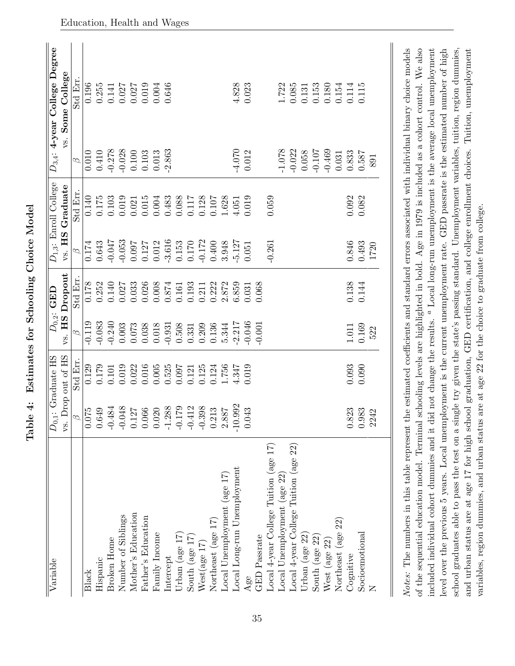<span id="page-35-0"></span>

| Variable                                                                                                                                                                                                                                                                                |                      | $D_{0,1}$ : Graduate HS |           | $D_{0,2}$ : GED |               | $D_{1,3}$ : Enroll College |               | $D_{3,4}$ : 4-year College Degree |
|-----------------------------------------------------------------------------------------------------------------------------------------------------------------------------------------------------------------------------------------------------------------------------------------|----------------------|-------------------------|-----------|-----------------|---------------|----------------------------|---------------|-----------------------------------|
|                                                                                                                                                                                                                                                                                         | vs.                  | Drop out of HS          | H S<br>ζ. | Dropout         | HS<br>vs.     | Graduate                   | vs.           | Some College                      |
|                                                                                                                                                                                                                                                                                         | p                    | Std Err.                | B         | Std Err.        | $\varnothing$ | Std Err                    | $\varnothing$ | Std Err                           |
| Black                                                                                                                                                                                                                                                                                   | $\frac{0.075}{2}$    | 0.129                   | $-0.119$  | 0.178           | 0.174         | 0.140                      | 0.010         | 0.196                             |
| Hispanic                                                                                                                                                                                                                                                                                | 0.649                | 0.179                   | $-0.083$  | 0.252           | 0.643         | $0.175\,$                  | 0.410         | 0.255                             |
| Broken Home                                                                                                                                                                                                                                                                             | $-0.484$             | 0.101                   | $-0.240$  | 0.140           | $-0.047$      | 0.103                      | $-0.278$      | 0.141                             |
| Number of Siblings                                                                                                                                                                                                                                                                      | $-0.048$             | 0.019                   | 0.003     | 0.027           | $-0.053$      | 0.019                      | $-0.028$      | 0.027                             |
| Mother's Education                                                                                                                                                                                                                                                                      | $0.127\,$            | 0.022                   | $0.073\,$ | 0.033           | 760.0         | 0.021                      | 0.100         | 0.027                             |
| Father's Education                                                                                                                                                                                                                                                                      | 0.066                | 0.016                   | 0.038     | 0.026           | 0.127         | $0.015\,$                  | 0.103         | 0.019                             |
| Family Income                                                                                                                                                                                                                                                                           | 0.020                | 0.005                   | 0.018     | 0.008           | 0.012         | 0.004                      | 0.013         | 0.004                             |
| Intercept                                                                                                                                                                                                                                                                               | $-1.288$             | 0.525                   | $-0.931$  | 0.874           | $-3.616$      | 0.483                      | -2.863        | 0.646                             |
| Urban (age $17$ )                                                                                                                                                                                                                                                                       | $-0.179$             | 760.0                   | 0.508     | 0.161           | 0.153         | 0.088                      |               |                                   |
| South (age $17$ )                                                                                                                                                                                                                                                                       |                      | 0.121                   | 0.331     | 0.193           | 0.170         | 0.117                      |               |                                   |
| West(age 17)                                                                                                                                                                                                                                                                            | $-0.412$<br>$-0.398$ | 0.125                   | 0.209     | 0.211           | $-0.172$      | 0.128                      |               |                                   |
| Northeast (age 17)                                                                                                                                                                                                                                                                      | $\!0.213$            | 0.124                   | 0.136     | 0.222           | 0.400         | 0.107                      |               |                                   |
| Local Unemployment (age 17)                                                                                                                                                                                                                                                             | $2.887$              | 1.756                   | 5.344     | 2.872           | 3.948         | 1.628                      |               |                                   |
| Local Long-run Unemployment                                                                                                                                                                                                                                                             | $-10.992$            | 4.347                   | $-2.217$  | 0.859           | $-5.127$      | 4.051                      | $-4.070$      | 4.828                             |
| Age                                                                                                                                                                                                                                                                                     | 0.043                | 0.019                   | $-0.046$  | 0.031           | 0.051         | 0.019                      | 0.012         | 0.023                             |
| <b>GED</b> Passrate                                                                                                                                                                                                                                                                     |                      |                         | $-0.001$  | 0.068           |               |                            |               |                                   |
| Local 4-year College Tuition (age 17)                                                                                                                                                                                                                                                   |                      |                         |           |                 | $-0.261$      | 0.059                      |               |                                   |
| Local Unemployment (age 22)                                                                                                                                                                                                                                                             |                      |                         |           |                 |               |                            | $-1.078$      | 1.722                             |
| Local 4-year College Tuition (age 22)                                                                                                                                                                                                                                                   |                      |                         |           |                 |               |                            | $-0.022$      | 0.085                             |
| Urban (age 22)                                                                                                                                                                                                                                                                          |                      |                         |           |                 |               |                            | 0.058         | 0.131                             |
| South (age 22)                                                                                                                                                                                                                                                                          |                      |                         |           |                 |               |                            | $-0.107$      | 0.153                             |
| West (age 22)                                                                                                                                                                                                                                                                           |                      |                         |           |                 |               |                            | $-0.469$      | 0.180                             |
| Northeast (age 22)                                                                                                                                                                                                                                                                      |                      |                         |           |                 |               |                            | 0.031         | 0.154                             |
| Cognitive                                                                                                                                                                                                                                                                               | 0.823                | 0.093                   | $1.011\,$ | 0.138           | 0.846         | 0.092                      | 0.833         | $0.114\,$                         |
| Socio<br>emotional                                                                                                                                                                                                                                                                      | 0.983                | 0.090                   | 0.169     | 0.144           | 0.493         | 0.082                      | 0.587         | 0.115                             |
|                                                                                                                                                                                                                                                                                         | 2242                 |                         | 522       |                 | 1720          |                            | 891           |                                   |
|                                                                                                                                                                                                                                                                                         |                      |                         |           |                 |               |                            |               |                                   |
| Notes: The numbers in this table represent the estimated coefficients and standard errors associated with individual binary choice models<br>of the sequential education model. Terminal schooling levels are highlighted in bold. Age in 1979 is included as a cohort control. We also |                      |                         |           |                 |               |                            |               |                                   |

Table 4: Estimates for Schooling Choice Model Table 4: Estimates for Schooling Choice Model

 $\alpha$  are required individual cohort dummies and it did not change the results.  $^a$  Local long-run unemployment is the average local unemployment level over the previous 5 years. Local unemployment is the current unemployment rate. GED passrate is the estimated number of high school graduates able to pass the test on a single try given the state's passing standard. Unemployment variables, tuition, region dummies, and urban status are at age 17 for high school graduation, GED certification, and college enrollment choices. Tuition, unemployment school graduates able to pass the test on a single try given the state's passing standard. Unemployment variables, tuition, region dummies, of the sequential education model. Terminal schooling levels are highlighted in bold. Age in 1979 is included as a cohort control. We also included individual cohort dummies and it did not change the results. a Local long-run unemployment is the average local unemployment level over the previous 5 years. Local unemployment is the current unemployment rate. GED passrate is the estimated number of high and urban status are at age 17 for high school graduation, GED certification, and college enrollment choices. Tuition, unemployment variables, region dummies, and urban status are at age 22 for the choice to graduate from college. variables, region dummies, and urban status are at age 22 for the choice to graduate from college.

#### Education, Health and Wages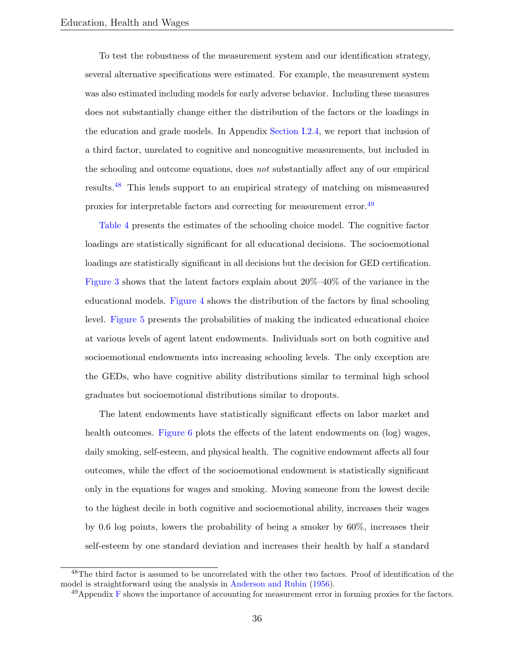To test the robustness of the measurement system and our identification strategy, several alternative specifications were estimated. For example, the measurement system was also estimated including models for early adverse behavior. Including these measures does not substantially change either the distribution of the factors or the loadings in the education and grade models. In Appendix [Section](#page--1-0) [I.2.4,](#page--1-0) we report that inclusion of a third factor, unrelated to cognitive and noncognitive measurements, but included in the schooling and outcome equations, does not substantially affect any of our empirical results.[48](#page-36-0) This lends support to an empirical strategy of matching on mismeasured proxies for interpretable factors and correcting for measurement error.<sup>[49](#page-36-1)</sup>

[Table](#page-35-0) [4](#page-35-0) presents the estimates of the schooling choice model. The cognitive factor loadings are statistically significant for all educational decisions. The socioemotional loadings are statistically significant in all decisions but the decision for GED certification. [Figure](#page-29-0) [3](#page-29-0) shows that the latent factors explain about 20%–40% of the variance in the educational models. [Figure](#page-30-0) [4](#page-30-0) shows the distribution of the factors by final schooling level. [Figure](#page-31-0) [5](#page-31-0) presents the probabilities of making the indicated educational choice at various levels of agent latent endowments. Individuals sort on both cognitive and socioemotional endowments into increasing schooling levels. The only exception are the GEDs, who have cognitive ability distributions similar to terminal high school graduates but socioemotional distributions similar to dropouts.

The latent endowments have statistically significant effects on labor market and health outcomes. [Figure](#page-32-0) [6](#page-32-0) plots the effects of the latent endowments on (log) wages, daily smoking, self-esteem, and physical health. The cognitive endowment affects all four outcomes, while the effect of the socioemotional endowment is statistically significant only in the equations for wages and smoking. Moving someone from the lowest decile to the highest decile in both cognitive and socioemotional ability, increases their wages by 0.6 log points, lowers the probability of being a smoker by 60%, increases their self-esteem by one standard deviation and increases their health by half a standard

<span id="page-36-0"></span><sup>&</sup>lt;sup>48</sup>The third factor is assumed to be uncorrelated with the other two factors. Proof of identification of the model is straightforward using the analysis in [Anderson and Rubin](#page-52-7) [\(1956\)](#page-52-7).

<span id="page-36-1"></span> $^{49}$ Appendix [F](#page--1-0) shows the importance of accounting for measurement error in forming proxies for the factors.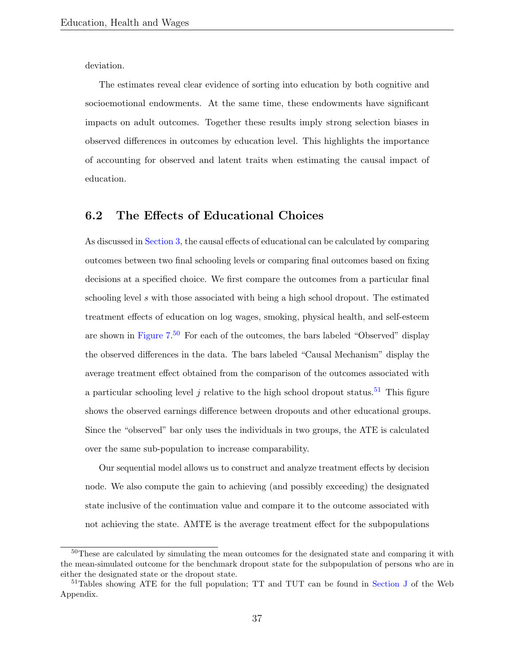deviation.

The estimates reveal clear evidence of sorting into education by both cognitive and socioemotional endowments. At the same time, these endowments have significant impacts on adult outcomes. Together these results imply strong selection biases in observed differences in outcomes by education level. This highlights the importance of accounting for observed and latent traits when estimating the causal impact of education.

#### <span id="page-37-0"></span>6.2 The Effects of Educational Choices

As discussed in [Section](#page-16-0) [3,](#page-16-0) the causal effects of educational can be calculated by comparing outcomes between two final schooling levels or comparing final outcomes based on fixing decisions at a specified choice. We first compare the outcomes from a particular final schooling level s with those associated with being a high school dropout. The estimated treatment effects of education on log wages, smoking, physical health, and self-esteem are shown in [Figure](#page-38-0) [7.](#page-38-0)<sup>[50](#page-37-1)</sup> For each of the outcomes, the bars labeled "Observed" display the observed differences in the data. The bars labeled "Causal Mechanism" display the average treatment effect obtained from the comparison of the outcomes associated with a particular schooling level j relative to the high school dropout status.<sup>[51](#page-37-2)</sup> This figure shows the observed earnings difference between dropouts and other educational groups. Since the "observed" bar only uses the individuals in two groups, the ATE is calculated over the same sub-population to increase comparability.

Our sequential model allows us to construct and analyze treatment effects by decision node. We also compute the gain to achieving (and possibly exceeding) the designated state inclusive of the continuation value and compare it to the outcome associated with not achieving the state. AMTE is the average treatment effect for the subpopulations

<span id="page-37-1"></span><sup>50</sup>These are calculated by simulating the mean outcomes for the designated state and comparing it with the mean-simulated outcome for the benchmark dropout state for the subpopulation of persons who are in either the designated state or the dropout state.

<span id="page-37-2"></span><sup>&</sup>lt;sup>51</sup>Tables showing ATE for the full population: TT and TUT can be found in [Section](#page--1-0) [J](#page--1-0) of the Web Appendix.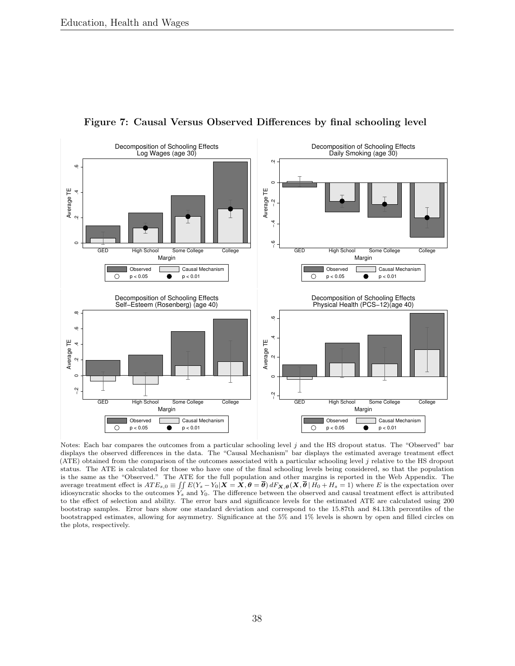<span id="page-38-0"></span>

Figure 7: Causal Versus Observed Differences by final schooling level

Notes: Each bar compares the outcomes from a particular schooling level j and the HS dropout status. The "Observed" bar displays the observed differences in the data. The "Causal Mechanism" bar displays the estimated average treatment effect (ATE) obtained from the comparison of the outcomes associated with a particular schooling level j relative to the HS dropout status. The ATE is calculated for those who have one of the final schooling levels being considered, so that the population is the same as the "Observed." The ATE for the full population and other margins is reported in the Web Appendix. The average treatment effect is  $ATE_{s,0} \equiv \iint E(Y_s - Y_0|X = X, \theta = \overline{\theta}) dF_{\mathbf{X},\theta}(\mathbf{X}, \overline{\theta} | H_0 + H_s = 1)$  where E is the expectation over idiosyncratic shocks to the outcomes  $Y_s$  and  $Y_0$ . The difference between the observed and causal treatment effect is attributed to the effect of selection and ability. The error bars and significance levels for the estimated ATE are calculated using 200 bootstrap samples. Error bars show one standard deviation and correspond to the 15.87th and 84.13th percentiles of the bootstrapped estimates, allowing for asymmetry. Significance at the 5% and 1% levels is shown by open and filled circles on the plots, respectively.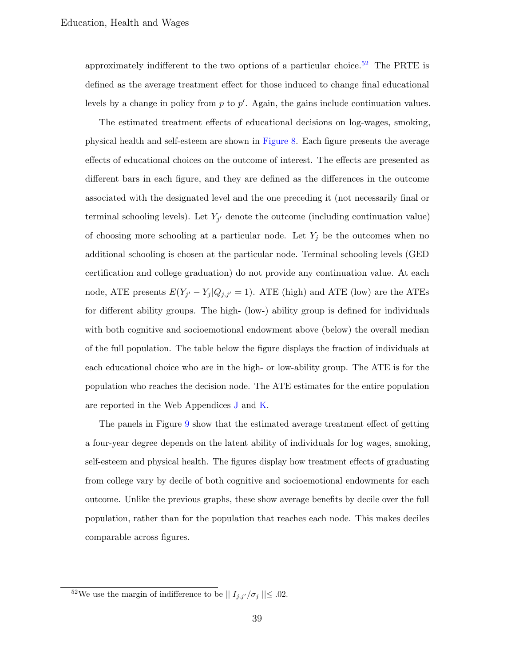approximately indifferent to the two options of a particular choice.<sup>[52](#page-39-0)</sup> The PRTE is defined as the average treatment effect for those induced to change final educational levels by a change in policy from  $p$  to  $p'$ . Again, the gains include continuation values.

The estimated treatment effects of educational decisions on log-wages, smoking, physical health and self-esteem are shown in [Figure](#page-40-0) [8.](#page-40-0) Each figure presents the average effects of educational choices on the outcome of interest. The effects are presented as different bars in each figure, and they are defined as the differences in the outcome associated with the designated level and the one preceding it (not necessarily final or terminal schooling levels). Let  $Y_{j'}$  denote the outcome (including continuation value) of choosing more schooling at a particular node. Let  $Y_j$  be the outcomes when no additional schooling is chosen at the particular node. Terminal schooling levels (GED certification and college graduation) do not provide any continuation value. At each node, ATE presents  $E(Y_{j'} - Y_j | Q_{j,j'} = 1)$ . ATE (high) and ATE (low) are the ATEs for different ability groups. The high- (low-) ability group is defined for individuals with both cognitive and socioemotional endowment above (below) the overall median of the full population. The table below the figure displays the fraction of individuals at each educational choice who are in the high- or low-ability group. The ATE is for the population who reaches the decision node. The ATE estimates for the entire population are reported in the Web Appendices [J](#page--1-0) and [K.](#page--1-0)

The panels in Figure [9](#page-41-0) show that the estimated average treatment effect of getting a four-year degree depends on the latent ability of individuals for log wages, smoking, self-esteem and physical health. The figures display how treatment effects of graduating from college vary by decile of both cognitive and socioemotional endowments for each outcome. Unlike the previous graphs, these show average benefits by decile over the full population, rather than for the population that reaches each node. This makes deciles comparable across figures.

<span id="page-39-0"></span><sup>&</sup>lt;sup>52</sup>We use the margin of indifference to be  $|| I_{j,j'}/\sigma_j || \leq .02$ .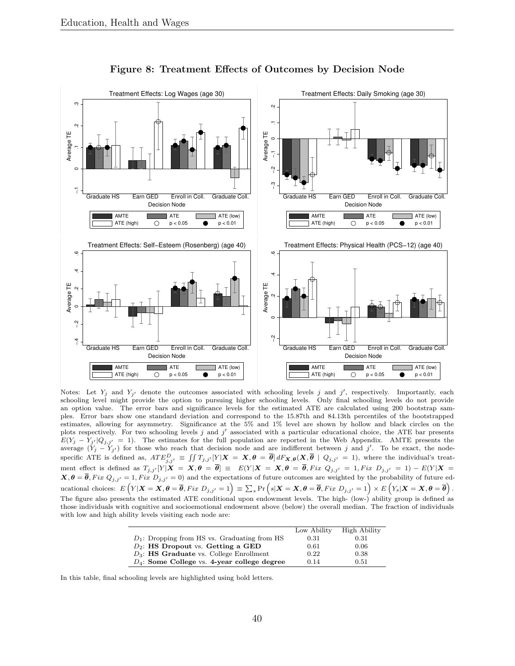<span id="page-40-0"></span>

Figure 8: Treatment Effects of Outcomes by Decision Node

Notes: Let  $Y_j$  and  $Y_{j'}$  denote the outcomes associated with schooling levels j and j', respectively. Importantly, each schooling level might provide the option to pursuing higher schooling levels. Only final schooling levels do not provide an option value. The error bars and significance levels for the estimated ATE are calculated using 200 bootstrap samples. Error bars show one standard deviation and correspond to the 15.87th and 84.13th percentiles of the bootstrapped estimates, allowing for asymmetry. Significance at the 5% and 1% level are shown by hollow and black circles on the plots respectively. For two schooling levels  $j$  and  $j'$  associated with a particular educational choice, the ATE bar presents  $E(Y_j - Y_{j'}|Q_{j,j'} = 1)$ . The estimates for the full population are reported in the Web Appendix. AMTE presents the average  $(Y_j - Y_{j'})$  for those who reach that decision node and are indifferent between j and j'. To be exact, the nodespecific ATE is defined as,  $ATE_{j,j'}^D \equiv \iint T_{j,j'}[Y|X = X, \theta = \overline{\theta}] dF_{\mathbf{X},\theta}(X, \overline{\theta} \mid Q_{j,j'} = 1)$ , where the individual's treatment effect is defined as  $T_{j,j'}[Y|\boldsymbol{X} = \boldsymbol{X}, \boldsymbol{\theta} = \boldsymbol{\theta}] \equiv E(Y|\boldsymbol{X} = \boldsymbol{X}, \boldsymbol{\theta} = \boldsymbol{\theta}, Fix \ Q_{j,j'} = 1, Fix \ D_{j,j'} = 1) - E(Y|\boldsymbol{X} = \boldsymbol{\theta})$  $X, \theta = \theta, Fix Q_{j,j'} = 1, Fix D_{j,j'} = 0$  and the expectations of future outcomes are weighted by the probability of future educational choices:  $E\left(Y|\bm{X}=\bm{X},\bm{\theta}=\bm{\overline{\theta}}, Fix\ D_{j,j'}=1\right)\equiv\sum_{s}\Pr\left(s|\bm{X}=\bm{X},\bm{\theta}=\bm{\overline{\theta}}, Fix\ D_{j,j'}=1\right)\times E\left(Y_{s}|\bm{X}=\bm{X},\bm{\theta}=\bm{\overline{\theta}}\right).$ The figure also presents the estimated ATE conditional upon endowment levels. The high- (low-) ability group is defined as those individuals with cognitive and socioemotional endowment above (below) the overall median. The fraction of individuals with low and high ability levels visiting each node are:

|                                                   | Low Ability | High Ability |
|---------------------------------------------------|-------------|--------------|
| $D_1$ : Dropping from HS vs. Graduating from HS   | 0.31        | 0.31         |
| $D_2$ : HS Dropout vs. Getting a GED              | 0.61        | 0.06         |
| $D_3$ : <b>HS Graduate</b> vs. College Enrollment | 0.22        | 0.38         |
| $D_4$ : Some College vs. 4-year college degree    | 0.14        | 0.51         |
|                                                   |             |              |

In this table, final schooling levels are highlighted using bold letters.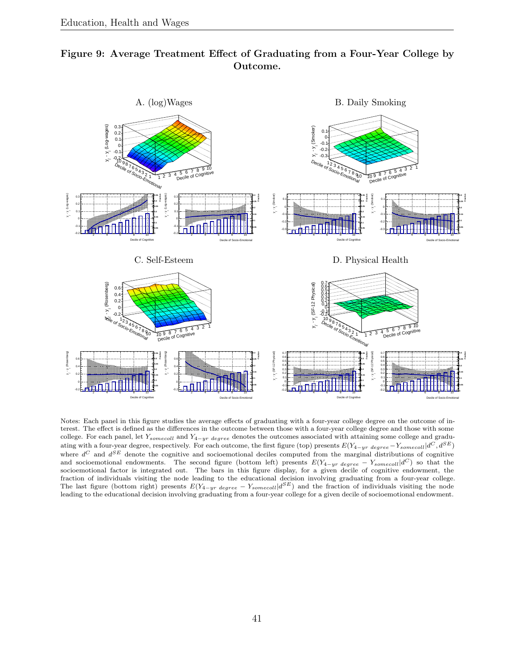<span id="page-41-0"></span>



Notes: Each panel in this figure studies the average effects of graduating with a four-year college degree on the outcome of interest. The effect is defined as the differences in the outcome between those with a four-year college degree and those with some college. For each panel, let  $Y_{somecoll}$  and  $Y_{4-yr \ degree}$  denotes the outcomes associated with attaining some college and graduating with a four-year degree, respectively. For each outcome, the first figure (top) presents  $E(Y_{4-yr\ degree} - Y_{somecoll}|d^C, d^{SE})$ where  $d^C$  and  $d^{SE}$  denote the cognitive and socioemotional deciles computed from the marginal distributions of cognitive and socioemotional endowments. The second figure (bottom left) presents  $E(Y_{4-yr \ degree} - Y_{somecoll}|d^C)$  so that the socioemotional factor is integrated out. The bars in this figure display, for a given decile of cognitive endowment, the fraction of individuals visiting the node leading to the educational decision involving graduating from a four-year college. The last figure (bottom right) presents  $E(Y_{4-yr \ degree} - Y_{somecoll}|d^{SE})$  and the fraction of individuals visiting the node leading to the educational decision involving graduating from a four-year college for a given decile of socioemotional endowment.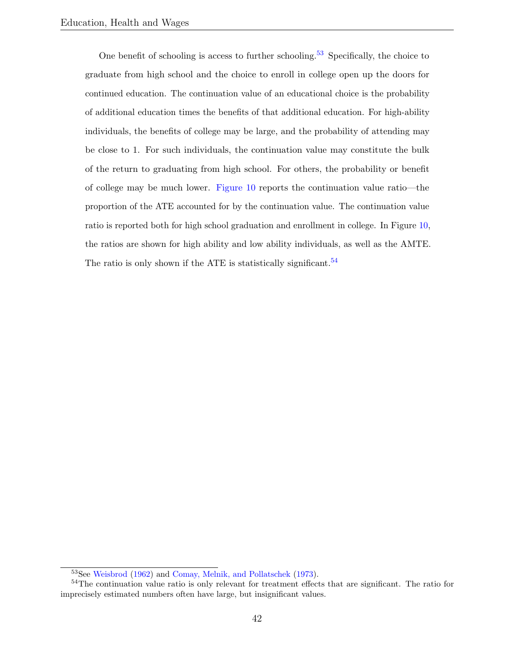One benefit of schooling is access to further schooling.<sup>[53](#page-42-0)</sup> Specifically, the choice to graduate from high school and the choice to enroll in college open up the doors for continued education. The continuation value of an educational choice is the probability of additional education times the benefits of that additional education. For high-ability individuals, the benefits of college may be large, and the probability of attending may be close to 1. For such individuals, the continuation value may constitute the bulk of the return to graduating from high school. For others, the probability or benefit of college may be much lower. [Figure](#page-43-0) [10](#page-43-0) reports the continuation value ratio—the proportion of the ATE accounted for by the continuation value. The continuation value ratio is reported both for high school graduation and enrollment in college. In Figure [10,](#page-43-0) the ratios are shown for high ability and low ability individuals, as well as the AMTE. The ratio is only shown if the ATE is statistically significant.  $54$ 

<span id="page-42-1"></span><span id="page-42-0"></span><sup>53</sup>See [Weisbrod](#page-60-4) [\(1962\)](#page-60-4) and [Comay, Melnik, and Pollatschek](#page-54-3) [\(1973\)](#page-54-3).

<sup>&</sup>lt;sup>54</sup>The continuation value ratio is only relevant for treatment effects that are significant. The ratio for imprecisely estimated numbers often have large, but insignificant values.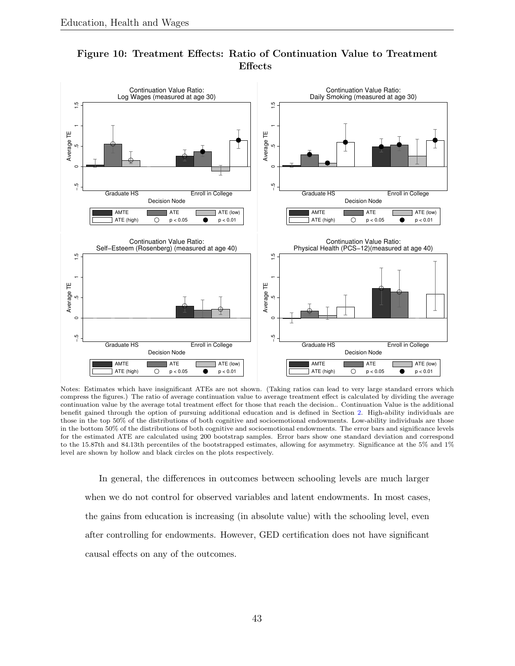

#### <span id="page-43-0"></span>Figure 10: Treatment Effects: Ratio of Continuation Value to Treatment Effects

Notes: Estimates which have insignificant ATEs are not shown. (Taking ratios can lead to very large standard errors which compress the figures.) The ratio of average continuation value to average treatment effect is calculated by dividing the average continuation value by the average total treatment effect for those that reach the decision.. Continuation Value is the additional benefit gained through the option of pursuing additional education and is defined in Section [2.](#page-9-0) High-ability individuals are those in the top 50% of the distributions of both cognitive and socioemotional endowments. Low-ability individuals are those in the bottom 50% of the distributions of both cognitive and socioemotional endowments. The error bars and significance levels for the estimated ATE are calculated using 200 bootstrap samples. Error bars show one standard deviation and correspond to the 15.87th and 84.13th percentiles of the bootstrapped estimates, allowing for asymmetry. Significance at the 5% and 1% level are shown by hollow and black circles on the plots respectively.

In general, the differences in outcomes between schooling levels are much larger when we do not control for observed variables and latent endowments. In most cases, the gains from education is increasing (in absolute value) with the schooling level, even after controlling for endowments. However, GED certification does not have significant causal effects on any of the outcomes.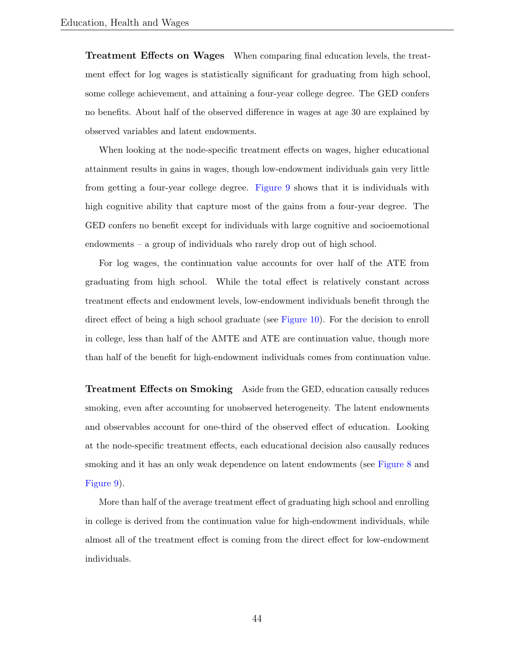Treatment Effects on Wages When comparing final education levels, the treatment effect for log wages is statistically significant for graduating from high school, some college achievement, and attaining a four-year college degree. The GED confers no benefits. About half of the observed difference in wages at age 30 are explained by observed variables and latent endowments.

When looking at the node-specific treatment effects on wages, higher educational attainment results in gains in wages, though low-endowment individuals gain very little from getting a four-year college degree. [Figure](#page-41-0) [9](#page-41-0) shows that it is individuals with high cognitive ability that capture most of the gains from a four-year degree. The GED confers no benefit except for individuals with large cognitive and socioemotional endowments – a group of individuals who rarely drop out of high school.

For log wages, the continuation value accounts for over half of the ATE from graduating from high school. While the total effect is relatively constant across treatment effects and endowment levels, low-endowment individuals benefit through the direct effect of being a high school graduate (see [Figure](#page-43-0) [10\)](#page-43-0). For the decision to enroll in college, less than half of the AMTE and ATE are continuation value, though more than half of the benefit for high-endowment individuals comes from continuation value.

Treatment Effects on Smoking Aside from the GED, education causally reduces smoking, even after accounting for unobserved heterogeneity. The latent endowments and observables account for one-third of the observed effect of education. Looking at the node-specific treatment effects, each educational decision also causally reduces smoking and it has an only weak dependence on latent endowments (see [Figure](#page-40-0) [8](#page-40-0) and [Figure](#page-41-0) [9\)](#page-41-0).

More than half of the average treatment effect of graduating high school and enrolling in college is derived from the continuation value for high-endowment individuals, while almost all of the treatment effect is coming from the direct effect for low-endowment individuals.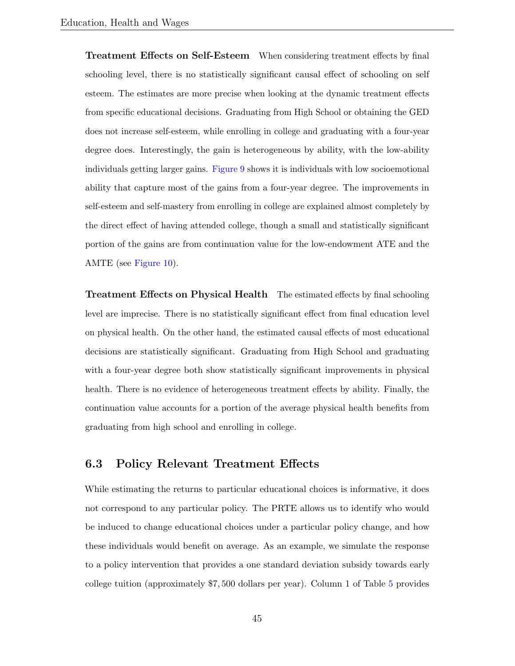Treatment Effects on Self-Esteem When considering treatment effects by final schooling level, there is no statistically significant causal effect of schooling on self esteem. The estimates are more precise when looking at the dynamic treatment effects from specific educational decisions. Graduating from High School or obtaining the GED does not increase self-esteem, while enrolling in college and graduating with a four-year degree does. Interestingly, the gain is heterogeneous by ability, with the low-ability individuals getting larger gains. [Figure](#page-41-0) [9](#page-41-0) shows it is individuals with low socioemotional ability that capture most of the gains from a four-year degree. The improvements in self-esteem and self-mastery from enrolling in college are explained almost completely by the direct effect of having attended college, though a small and statistically significant portion of the gains are from continuation value for the low-endowment ATE and the AMTE (see [Figure](#page-43-0) [10\)](#page-43-0).

Treatment Effects on Physical Health The estimated effects by final schooling level are imprecise. There is no statistically significant effect from final education level on physical health. On the other hand, the estimated causal effects of most educational decisions are statistically significant. Graduating from High School and graduating with a four-year degree both show statistically significant improvements in physical health. There is no evidence of heterogeneous treatment effects by ability. Finally, the continuation value accounts for a portion of the average physical health benefits from graduating from high school and enrolling in college.

#### <span id="page-45-0"></span>6.3 Policy Relevant Treatment Effects

While estimating the returns to particular educational choices is informative, it does not correspond to any particular policy. The PRTE allows us to identify who would be induced to change educational choices under a particular policy change, and how these individuals would benefit on average. As an example, we simulate the response to a policy intervention that provides a one standard deviation subsidy towards early college tuition (approximately \$7, 500 dollars per year). Column 1 of Table [5](#page-46-0) provides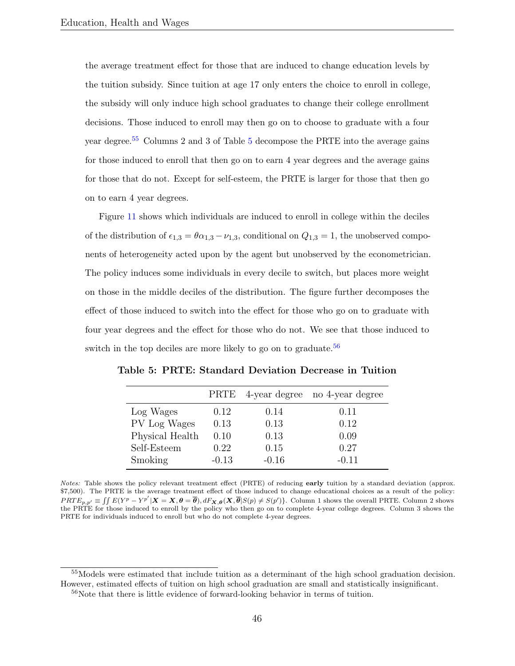the average treatment effect for those that are induced to change education levels by the tuition subsidy. Since tuition at age 17 only enters the choice to enroll in college, the subsidy will only induce high school graduates to change their college enrollment decisions. Those induced to enroll may then go on to choose to graduate with a four year degree.[55](#page-46-1) Columns 2 and 3 of Table [5](#page-46-0) decompose the PRTE into the average gains for those induced to enroll that then go on to earn 4 year degrees and the average gains for those that do not. Except for self-esteem, the PRTE is larger for those that then go on to earn 4 year degrees.

Figure [11](#page-47-0) shows which individuals are induced to enroll in college within the deciles of the distribution of  $\epsilon_{1,3} = \theta \alpha_{1,3} - \nu_{1,3}$ , conditional on  $Q_{1,3} = 1$ , the unobserved components of heterogeneity acted upon by the agent but unobserved by the econometrician. The policy induces some individuals in every decile to switch, but places more weight on those in the middle deciles of the distribution. The figure further decomposes the effect of those induced to switch into the effect for those who go on to graduate with four year degrees and the effect for those who do not. We see that those induced to switch in the top deciles are more likely to go on to graduate.<sup>[56](#page-46-2)</sup>

|                 |         |         | PRTE 4-year degree no 4-year degree |
|-----------------|---------|---------|-------------------------------------|
| Log Wages       | 0.12    | 0.14    | 0.11                                |
| PV Log Wages    | 0.13    | 0.13    | 0.12                                |
| Physical Health | 0.10    | 0.13    | 0.09                                |
| Self-Esteem     | 0.22    | 0.15    | 0.27                                |
| Smoking         | $-0.13$ | $-0.16$ | $-0.11$                             |

<span id="page-46-0"></span>Table 5: PRTE: Standard Deviation Decrease in Tuition

Notes: Table shows the policy relevant treatment effect (PRTE) of reducing early tuition by a standard deviation (approx. \$7,500). The PRTE is the average treatment effect of those induced to change educational choices as a result of the policy:  $PRTE_{p,p'} \equiv \iint E(Y^{p} - Y^{p'} | \mathbf{X} = \mathbf{X}, \boldsymbol{\theta} = \overline{\boldsymbol{\theta}}), dF_{\mathbf{X},\boldsymbol{\theta}}(\mathbf{X}, \overline{\boldsymbol{\theta}} | S(p) \neq S(p')\}$ . Column 1 shows the overall PRTE. Column 2 shows the PRTE for those induced to enroll by the policy who then go on to complete 4-year college degrees. Column 3 shows the PRTE for individuals induced to enroll but who do not complete 4-year degrees.

<span id="page-46-1"></span><sup>55</sup>Models were estimated that include tuition as a determinant of the high school graduation decision. However, estimated effects of tuition on high school graduation are small and statistically insignificant.

<span id="page-46-2"></span><sup>&</sup>lt;sup>56</sup>Note that there is little evidence of forward-looking behavior in terms of tuition.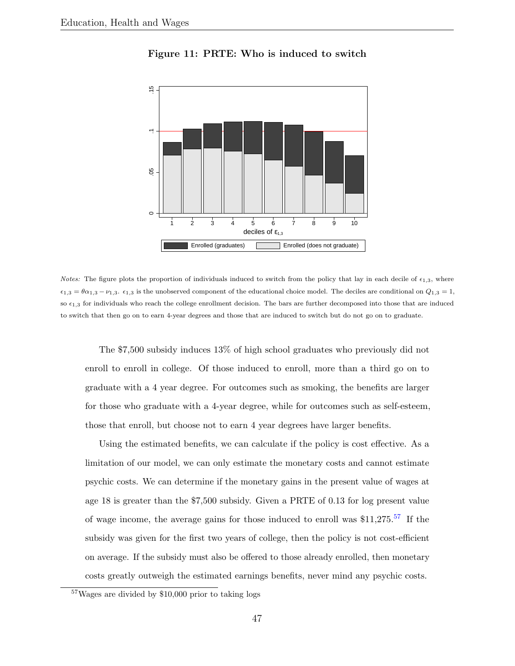<span id="page-47-0"></span>

Figure 11: PRTE: Who is induced to switch

*Notes:* The figure plots the proportion of individuals induced to switch from the policy that lay in each decile of  $\epsilon_{1,3}$ , where  $\epsilon_{1,3} = \theta \alpha_{1,3} - \nu_{1,3}$ .  $\epsilon_{1,3}$  is the unobserved component of the educational choice model. The deciles are conditional on  $Q_{1,3} = 1$ , so  $\epsilon_{1,3}$  for individuals who reach the college enrollment decision. The bars are further decomposed into those that are induced to switch that then go on to earn 4-year degrees and those that are induced to switch but do not go on to graduate.

The \$7,500 subsidy induces 13% of high school graduates who previously did not enroll to enroll in college. Of those induced to enroll, more than a third go on to graduate with a 4 year degree. For outcomes such as smoking, the benefits are larger for those who graduate with a 4-year degree, while for outcomes such as self-esteem, those that enroll, but choose not to earn 4 year degrees have larger benefits.

Using the estimated benefits, we can calculate if the policy is cost effective. As a limitation of our model, we can only estimate the monetary costs and cannot estimate psychic costs. We can determine if the monetary gains in the present value of wages at age 18 is greater than the \$7,500 subsidy. Given a PRTE of 0.13 for log present value of wage income, the average gains for those induced to enroll was  $$11,275$ .<sup>[57](#page-47-1)</sup> If the subsidy was given for the first two years of college, then the policy is not cost-efficient on average. If the subsidy must also be offered to those already enrolled, then monetary costs greatly outweigh the estimated earnings benefits, never mind any psychic costs.

<span id="page-47-1"></span><sup>57</sup>Wages are divided by \$10,000 prior to taking logs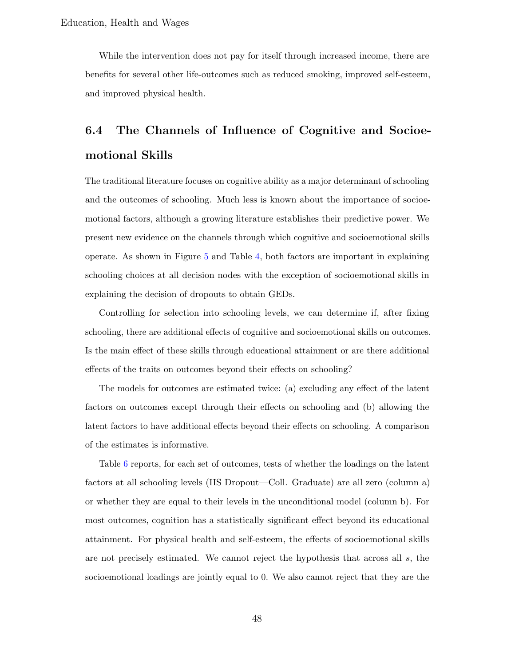While the intervention does not pay for itself through increased income, there are benefits for several other life-outcomes such as reduced smoking, improved self-esteem, and improved physical health.

# <span id="page-48-0"></span>6.4 The Channels of Influence of Cognitive and Socioemotional Skills

The traditional literature focuses on cognitive ability as a major determinant of schooling and the outcomes of schooling. Much less is known about the importance of socioemotional factors, although a growing literature establishes their predictive power. We present new evidence on the channels through which cognitive and socioemotional skills operate. As shown in Figure [5](#page-31-0) and Table [4,](#page-35-0) both factors are important in explaining schooling choices at all decision nodes with the exception of socioemotional skills in explaining the decision of dropouts to obtain GEDs.

Controlling for selection into schooling levels, we can determine if, after fixing schooling, there are additional effects of cognitive and socioemotional skills on outcomes. Is the main effect of these skills through educational attainment or are there additional effects of the traits on outcomes beyond their effects on schooling?

The models for outcomes are estimated twice: (a) excluding any effect of the latent factors on outcomes except through their effects on schooling and (b) allowing the latent factors to have additional effects beyond their effects on schooling. A comparison of the estimates is informative.

Table [6](#page-49-0) reports, for each set of outcomes, tests of whether the loadings on the latent factors at all schooling levels (HS Dropout—Coll. Graduate) are all zero (column a) or whether they are equal to their levels in the unconditional model (column b). For most outcomes, cognition has a statistically significant effect beyond its educational attainment. For physical health and self-esteem, the effects of socioemotional skills are not precisely estimated. We cannot reject the hypothesis that across all s, the socioemotional loadings are jointly equal to 0. We also cannot reject that they are the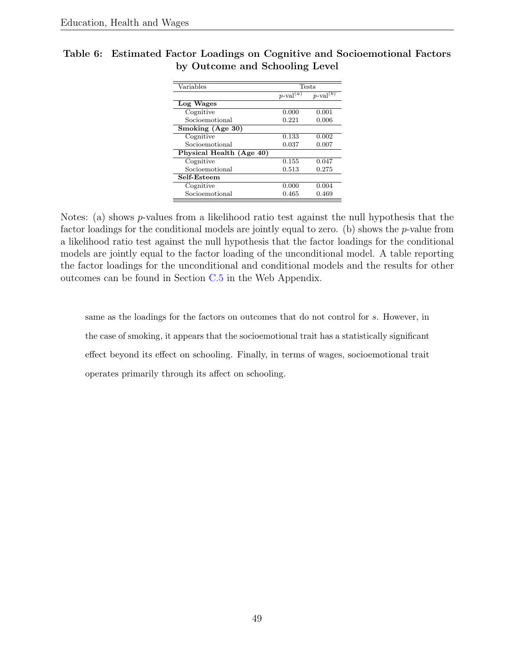| Variables                | <b>Tests</b>            |                         |  |
|--------------------------|-------------------------|-------------------------|--|
|                          | $p$ -val $\overline{a}$ | $p$ -val <sup>(b)</sup> |  |
| Log Wages                |                         |                         |  |
| Cognitive                | 0.000                   | 0.001                   |  |
| Socioemotional           | 0.221                   | 0.006                   |  |
| Smoking (Age 30)         |                         |                         |  |
| Cognitive                | 0.133                   | 0.002                   |  |
| Socioemotional           | 0.037                   | 0.007                   |  |
| Physical Health (Age 40) |                         |                         |  |
| Cognitive                | 0.155                   | 0.047                   |  |
| Socioemotional           | 0.513                   | 0.275                   |  |
| Self-Esteem              |                         |                         |  |
| Cognitive                | 0.000                   | 0.004                   |  |
| Socioemotional           | 0.465                   | 0.469                   |  |

<span id="page-49-0"></span>Table 6: Estimated Factor Loadings on Cognitive and Socioemotional Factors by Outcome and Schooling Level

Notes: (a) shows p-values from a likelihood ratio test against the null hypothesis that the factor loadings for the conditional models are jointly equal to zero. (b) shows the  $p$ -value from a likelihood ratio test against the null hypothesis that the factor loadings for the conditional models are jointly equal to the factor loading of the unconditional model. A table reporting the factor loadings for the unconditional and conditional models and the results for other outcomes can be found in Section [C.5](#page--1-0) in the Web Appendix.

same as the loadings for the factors on outcomes that do not control for s. However, in the case of smoking, it appears that the socioemotional trait has a statistically significant effect beyond its effect on schooling. Finally, in terms of wages, socioemotional trait operates primarily through its affect on schooling.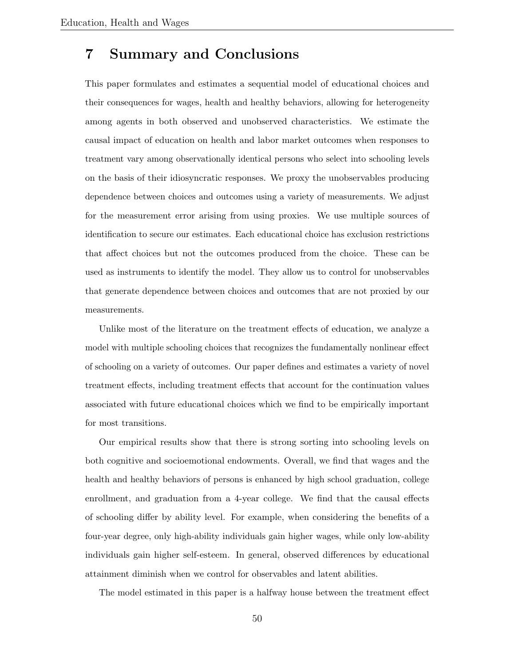# 7 Summary and Conclusions

This paper formulates and estimates a sequential model of educational choices and their consequences for wages, health and healthy behaviors, allowing for heterogeneity among agents in both observed and unobserved characteristics. We estimate the causal impact of education on health and labor market outcomes when responses to treatment vary among observationally identical persons who select into schooling levels on the basis of their idiosyncratic responses. We proxy the unobservables producing dependence between choices and outcomes using a variety of measurements. We adjust for the measurement error arising from using proxies. We use multiple sources of identification to secure our estimates. Each educational choice has exclusion restrictions that affect choices but not the outcomes produced from the choice. These can be used as instruments to identify the model. They allow us to control for unobservables that generate dependence between choices and outcomes that are not proxied by our measurements.

Unlike most of the literature on the treatment effects of education, we analyze a model with multiple schooling choices that recognizes the fundamentally nonlinear effect of schooling on a variety of outcomes. Our paper defines and estimates a variety of novel treatment effects, including treatment effects that account for the continuation values associated with future educational choices which we find to be empirically important for most transitions.

Our empirical results show that there is strong sorting into schooling levels on both cognitive and socioemotional endowments. Overall, we find that wages and the health and healthy behaviors of persons is enhanced by high school graduation, college enrollment, and graduation from a 4-year college. We find that the causal effects of schooling differ by ability level. For example, when considering the benefits of a four-year degree, only high-ability individuals gain higher wages, while only low-ability individuals gain higher self-esteem. In general, observed differences by educational attainment diminish when we control for observables and latent abilities.

The model estimated in this paper is a halfway house between the treatment effect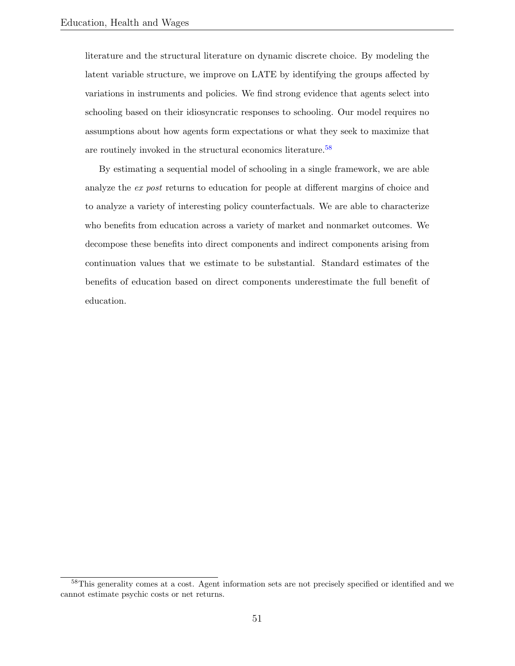literature and the structural literature on dynamic discrete choice. By modeling the latent variable structure, we improve on LATE by identifying the groups affected by variations in instruments and policies. We find strong evidence that agents select into schooling based on their idiosyncratic responses to schooling. Our model requires no assumptions about how agents form expectations or what they seek to maximize that are routinely invoked in the structural economics literature.<sup>[58](#page-51-0)</sup>

By estimating a sequential model of schooling in a single framework, we are able analyze the ex post returns to education for people at different margins of choice and to analyze a variety of interesting policy counterfactuals. We are able to characterize who benefits from education across a variety of market and nonmarket outcomes. We decompose these benefits into direct components and indirect components arising from continuation values that we estimate to be substantial. Standard estimates of the benefits of education based on direct components underestimate the full benefit of education.

<span id="page-51-0"></span><sup>&</sup>lt;sup>58</sup>This generality comes at a cost. Agent information sets are not precisely specified or identified and we cannot estimate psychic costs or net returns.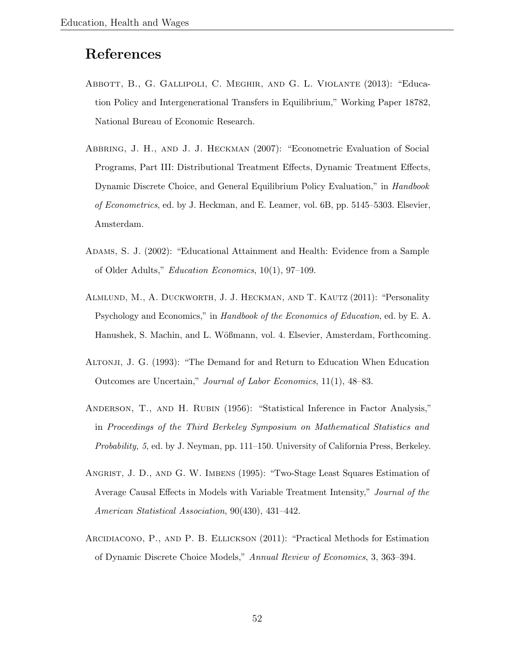# References

- <span id="page-52-1"></span>Abbott, B., G. Gallipoli, C. Meghir, and G. L. Violante (2013): "Education Policy and Intergenerational Transfers in Equilibrium," Working Paper 18782, National Bureau of Economic Research.
- <span id="page-52-6"></span>Abbring, J. H., and J. J. Heckman (2007): "Econometric Evaluation of Social Programs, Part III: Distributional Treatment Effects, Dynamic Treatment Effects, Dynamic Discrete Choice, and General Equilibrium Policy Evaluation," in *Handbook* of Econometrics, ed. by J. Heckman, and E. Leamer, vol. 6B, pp. 5145–5303. Elsevier, Amsterdam.
- <span id="page-52-0"></span>Adams, S. J. (2002): "Educational Attainment and Health: Evidence from a Sample of Older Adults," Education Economics, 10(1), 97–109.
- <span id="page-52-3"></span>Almlund, M., A. Duckworth, J. J. Heckman, and T. Kautz (2011): "Personality Psychology and Economics," in Handbook of the Economics of Education, ed. by E. A. Hanushek, S. Machin, and L. Wößmann, vol. 4. Elsevier, Amsterdam, Forthcoming.
- <span id="page-52-4"></span>Altonji, J. G. (1993): "The Demand for and Return to Education When Education Outcomes are Uncertain," Journal of Labor Economics, 11(1), 48–83.
- <span id="page-52-7"></span>Anderson, T., and H. Rubin (1956): "Statistical Inference in Factor Analysis," in Proceedings of the Third Berkeley Symposium on Mathematical Statistics and Probability, 5, ed. by J. Neyman, pp. 111–150. University of California Press, Berkeley.
- <span id="page-52-2"></span>Angrist, J. D., and G. W. Imbens (1995): "Two-Stage Least Squares Estimation of Average Causal Effects in Models with Variable Treatment Intensity," Journal of the American Statistical Association, 90(430), 431–442.
- <span id="page-52-5"></span>Arcidiacono, P., and P. B. Ellickson (2011): "Practical Methods for Estimation of Dynamic Discrete Choice Models," Annual Review of Economics, 3, 363–394.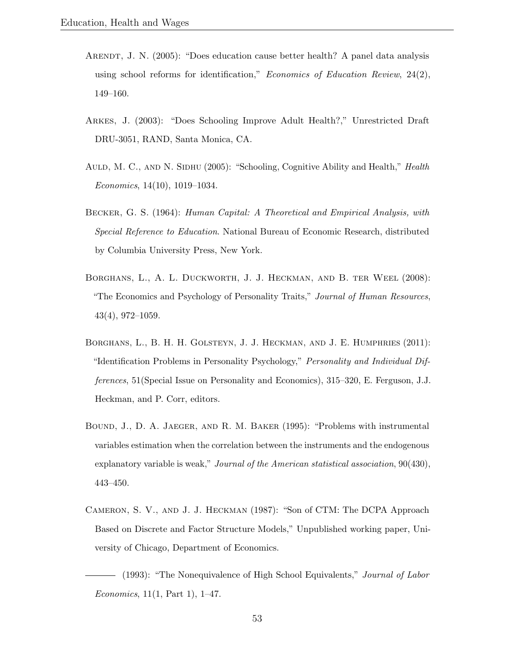- <span id="page-53-2"></span>ARENDT, J. N. (2005): "Does education cause better health? A panel data analysis using school reforms for identification," *Economics of Education Review*,  $24(2)$ , 149–160.
- <span id="page-53-3"></span>Arkes, J. (2003): "Does Schooling Improve Adult Health?," Unrestricted Draft DRU-3051, RAND, Santa Monica, CA.
- <span id="page-53-4"></span>AULD, M. C., AND N. SIDHU (2005): "Schooling, Cognitive Ability and Health," Health Economics, 14(10), 1019–1034.
- <span id="page-53-1"></span>Becker, G. S. (1964): Human Capital: A Theoretical and Empirical Analysis, with Special Reference to Education. National Bureau of Economic Research, distributed by Columbia University Press, New York.
- <span id="page-53-5"></span>Borghans, L., A. L. Duckworth, J. J. Heckman, and B. ter Weel (2008): "The Economics and Psychology of Personality Traits," Journal of Human Resources, 43(4), 972–1059.
- <span id="page-53-8"></span>Borghans, L., B. H. H. Golsteyn, J. J. Heckman, and J. E. Humphries (2011): "Identification Problems in Personality Psychology," Personality and Individual Differences, 51(Special Issue on Personality and Economics), 315–320, E. Ferguson, J.J. Heckman, and P. Corr, editors.
- <span id="page-53-0"></span>Bound, J., D. A. Jaeger, and R. M. Baker (1995): "Problems with instrumental variables estimation when the correlation between the instruments and the endogenous explanatory variable is weak," Journal of the American statistical association, 90(430), 443–450.
- <span id="page-53-7"></span>Cameron, S. V., and J. J. Heckman (1987): "Son of CTM: The DCPA Approach Based on Discrete and Factor Structure Models," Unpublished working paper, University of Chicago, Department of Economics.

<span id="page-53-6"></span>(1993): "The Nonequivalence of High School Equivalents," Journal of Labor Economics, 11(1, Part 1), 1–47.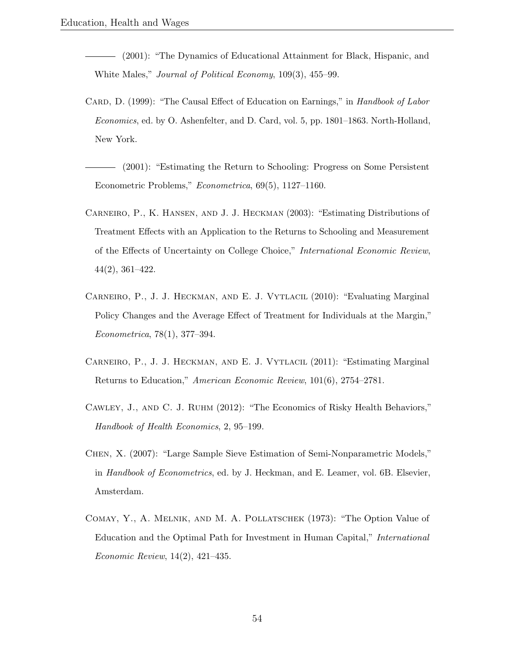- <span id="page-54-2"></span>(2001): "The Dynamics of Educational Attainment for Black, Hispanic, and White Males," Journal of Political Economy, 109(3), 455–99.
- <span id="page-54-1"></span>CARD, D. (1999): "The Causal Effect of Education on Earnings," in Handbook of Labor Economics, ed. by O. Ashenfelter, and D. Card, vol. 5, pp. 1801–1863. North-Holland, New York.
- <span id="page-54-8"></span>(2001): "Estimating the Return to Schooling: Progress on Some Persistent Econometric Problems," Econometrica, 69(5), 1127–1160.
- <span id="page-54-5"></span>Carneiro, P., K. Hansen, and J. J. Heckman (2003): "Estimating Distributions of Treatment Effects with an Application to the Returns to Schooling and Measurement of the Effects of Uncertainty on College Choice," International Economic Review, 44(2), 361–422.
- <span id="page-54-7"></span>Carneiro, P., J. J. Heckman, and E. J. Vytlacil (2010): "Evaluating Marginal Policy Changes and the Average Effect of Treatment for Individuals at the Margin," Econometrica, 78(1), 377–394.
- <span id="page-54-0"></span>CARNEIRO, P., J. J. HECKMAN, AND E. J. VYTLACIL (2011): "Estimating Marginal Returns to Education," American Economic Review, 101(6), 2754–2781.
- <span id="page-54-4"></span>Cawley, J., and C. J. Ruhm (2012): "The Economics of Risky Health Behaviors," Handbook of Health Economics, 2, 95–199.
- <span id="page-54-6"></span>Chen, X. (2007): "Large Sample Sieve Estimation of Semi-Nonparametric Models," in Handbook of Econometrics, ed. by J. Heckman, and E. Leamer, vol. 6B. Elsevier, Amsterdam.
- <span id="page-54-3"></span>Comay, Y., A. Melnik, and M. A. Pollatschek (1973): "The Option Value of Education and the Optimal Path for Investment in Human Capital," International Economic Review, 14(2), 421–435.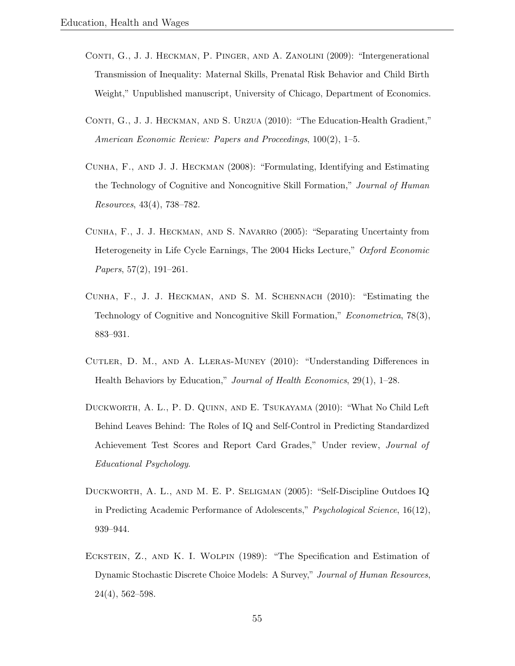- <span id="page-55-4"></span>CONTI, G., J. J. HECKMAN, P. PINGER, AND A. ZANOLINI (2009): "Intergenerational Transmission of Inequality: Maternal Skills, Prenatal Risk Behavior and Child Birth Weight," Unpublished manuscript, University of Chicago, Department of Economics.
- <span id="page-55-1"></span>CONTI, G., J. J. HECKMAN, AND S. URZUA (2010): "The Education-Health Gradient," American Economic Review: Papers and Proceedings, 100(2), 1–5.
- <span id="page-55-6"></span>Cunha, F., and J. J. Heckman (2008): "Formulating, Identifying and Estimating the Technology of Cognitive and Noncognitive Skill Formation," Journal of Human Resources, 43(4), 738–782.
- <span id="page-55-2"></span>Cunha, F., J. J. Heckman, and S. Navarro (2005): "Separating Uncertainty from Heterogeneity in Life Cycle Earnings, The 2004 Hicks Lecture," Oxford Economic Papers, 57(2), 191–261.
- <span id="page-55-5"></span>Cunha, F., J. J. Heckman, and S. M. Schennach (2010): "Estimating the Technology of Cognitive and Noncognitive Skill Formation," Econometrica, 78(3), 883–931.
- <span id="page-55-0"></span>Cutler, D. M., and A. Lleras-Muney (2010): "Understanding Differences in Health Behaviors by Education," Journal of Health Economics, 29(1), 1–28.
- <span id="page-55-8"></span>Duckworth, A. L., P. D. Quinn, and E. Tsukayama (2010): "What No Child Left Behind Leaves Behind: The Roles of IQ and Self-Control in Predicting Standardized Achievement Test Scores and Report Card Grades," Under review, Journal of Educational Psychology.
- <span id="page-55-7"></span>DUCKWORTH, A. L., AND M. E. P. SELIGMAN (2005): "Self-Discipline Outdoes IQ in Predicting Academic Performance of Adolescents," Psychological Science, 16(12), 939–944.
- <span id="page-55-3"></span>Eckstein, Z., and K. I. Wolpin (1989): "The Specification and Estimation of Dynamic Stochastic Discrete Choice Models: A Survey," Journal of Human Resources, 24(4), 562–598.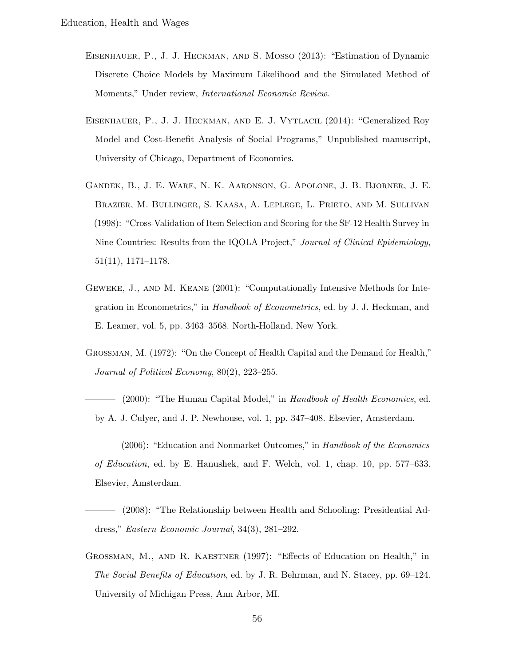- <span id="page-56-5"></span>Eisenhauer, P., J. J. Heckman, and S. Mosso (2013): "Estimation of Dynamic Discrete Choice Models by Maximum Likelihood and the Simulated Method of Moments," Under review, International Economic Review.
- <span id="page-56-6"></span>Eisenhauer, P., J. J. Heckman, and E. J. Vytlacil (2014): "Generalized Roy Model and Cost-Benefit Analysis of Social Programs," Unpublished manuscript, University of Chicago, Department of Economics.
- <span id="page-56-8"></span>Gandek, B., J. E. Ware, N. K. Aaronson, G. Apolone, J. B. Bjorner, J. E. Brazier, M. Bullinger, S. Kaasa, A. Leplege, L. Prieto, and M. Sullivan (1998): "Cross-Validation of Item Selection and Scoring for the SF-12 Health Survey in Nine Countries: Results from the IQOLA Project," Journal of Clinical Epidemiology, 51(11), 1171–1178.
- <span id="page-56-7"></span>Geweke, J., and M. Keane (2001): "Computationally Intensive Methods for Integration in Econometrics," in Handbook of Econometrics, ed. by J. J. Heckman, and E. Leamer, vol. 5, pp. 3463–3568. North-Holland, New York.
- <span id="page-56-0"></span>Grossman, M. (1972): "On the Concept of Health Capital and the Demand for Health," Journal of Political Economy, 80(2), 223–255.
- <span id="page-56-1"></span>- (2000): "The Human Capital Model," in Handbook of Health Economics, ed. by A. J. Culyer, and J. P. Newhouse, vol. 1, pp. 347–408. Elsevier, Amsterdam.
- <span id="page-56-2"></span> $-$  (2006): "Education and Nonmarket Outcomes," in Handbook of the Economics of Education, ed. by E. Hanushek, and F. Welch, vol. 1, chap. 10, pp. 577–633. Elsevier, Amsterdam.
- <span id="page-56-3"></span>(2008): "The Relationship between Health and Schooling: Presidential Address," Eastern Economic Journal, 34(3), 281–292.
- <span id="page-56-4"></span>Grossman, M., and R. Kaestner (1997): "Effects of Education on Health," in The Social Benefits of Education, ed. by J. R. Behrman, and N. Stacey, pp. 69–124. University of Michigan Press, Ann Arbor, MI.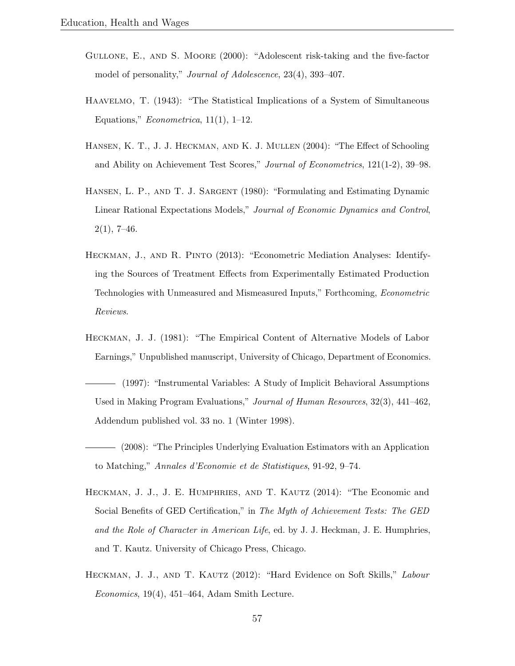- <span id="page-57-8"></span>Gullone, E., and S. Moore (2000): "Adolescent risk-taking and the five-factor model of personality," *Journal of Adolescence*, 23(4), 393-407.
- <span id="page-57-4"></span>Haavelmo, T. (1943): "The Statistical Implications of a System of Simultaneous Equations," *Econometrica*,  $11(1)$ ,  $1-12$ .
- <span id="page-57-7"></span>Hansen, K. T., J. J. Heckman, and K. J. Mullen (2004): "The Effect of Schooling and Ability on Achievement Test Scores," Journal of Econometrics, 121(1-2), 39–98.
- <span id="page-57-9"></span>Hansen, L. P., and T. J. Sargent (1980): "Formulating and Estimating Dynamic Linear Rational Expectations Models," Journal of Economic Dynamics and Control,  $2(1), 7-46.$
- <span id="page-57-5"></span>Heckman, J., and R. Pinto (2013): "Econometric Mediation Analyses: Identifying the Sources of Treatment Effects from Experimentally Estimated Production Technologies with Unmeasured and Mismeasured Inputs," Forthcoming, Econometric Reviews.
- <span id="page-57-1"></span>Heckman, J. J. (1981): "The Empirical Content of Alternative Models of Labor Earnings," Unpublished manuscript, University of Chicago, Department of Economics.
- <span id="page-57-0"></span>(1997): "Instrumental Variables: A Study of Implicit Behavioral Assumptions Used in Making Program Evaluations," Journal of Human Resources, 32(3), 441–462, Addendum published vol. 33 no. 1 (Winter 1998).
- <span id="page-57-2"></span>(2008): "The Principles Underlying Evaluation Estimators with an Application to Matching," Annales d'Economie et de Statistiques, 91-92, 9–74.
- <span id="page-57-3"></span>Heckman, J. J., J. E. Humphries, and T. Kautz (2014): "The Economic and Social Benefits of GED Certification," in The Myth of Achievement Tests: The GED and the Role of Character in American Life, ed. by J. J. Heckman, J. E. Humphries, and T. Kautz. University of Chicago Press, Chicago.
- <span id="page-57-6"></span>HECKMAN, J. J., AND T. KAUTZ (2012): "Hard Evidence on Soft Skills," Labour Economics, 19(4), 451–464, Adam Smith Lecture.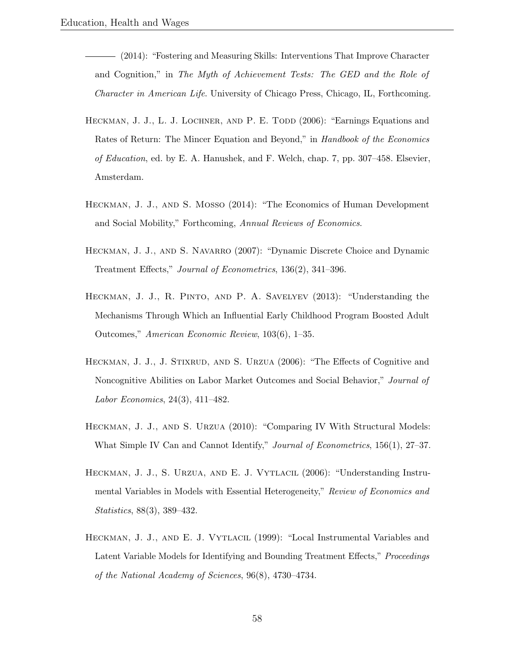- <span id="page-58-8"></span>(2014): "Fostering and Measuring Skills: Interventions That Improve Character and Cognition," in The Myth of Achievement Tests: The GED and the Role of Character in American Life. University of Chicago Press, Chicago, IL, Forthcoming.
- <span id="page-58-1"></span>HECKMAN, J. J., L. J. LOCHNER, AND P. E. TODD (2006): "Earnings Equations and Rates of Return: The Mincer Equation and Beyond," in Handbook of the Economics of Education, ed. by E. A. Hanushek, and F. Welch, chap. 7, pp. 307–458. Elsevier, Amsterdam.
- <span id="page-58-6"></span>Heckman, J. J., and S. Mosso (2014): "The Economics of Human Development and Social Mobility," Forthcoming, Annual Reviews of Economics.
- <span id="page-58-5"></span>HECKMAN, J. J., AND S. NAVARRO (2007): "Dynamic Discrete Choice and Dynamic Treatment Effects," Journal of Econometrics, 136(2), 341–396.
- <span id="page-58-7"></span>Heckman, J. J., R. Pinto, and P. A. Savelyev (2013): "Understanding the Mechanisms Through Which an Influential Early Childhood Program Boosted Adult Outcomes," American Economic Review, 103(6), 1–35.
- <span id="page-58-4"></span>HECKMAN, J. J., J. STIXRUD, AND S. URZUA (2006): "The Effects of Cognitive and Noncognitive Abilities on Labor Market Outcomes and Social Behavior," Journal of Labor Economics, 24(3), 411–482.
- <span id="page-58-3"></span>Heckman, J. J., and S. Urzua (2010): "Comparing IV With Structural Models: What Simple IV Can and Cannot Identify," Journal of Econometrics, 156(1), 27–37.
- <span id="page-58-2"></span>Heckman, J. J., S. Urzua, and E. J. Vytlacil (2006): "Understanding Instrumental Variables in Models with Essential Heterogeneity," Review of Economics and Statistics, 88(3), 389–432.
- <span id="page-58-0"></span>HECKMAN, J. J., AND E. J. VYTLACIL (1999): "Local Instrumental Variables and Latent Variable Models for Identifying and Bounding Treatment Effects," *Proceedings* of the National Academy of Sciences, 96(8), 4730–4734.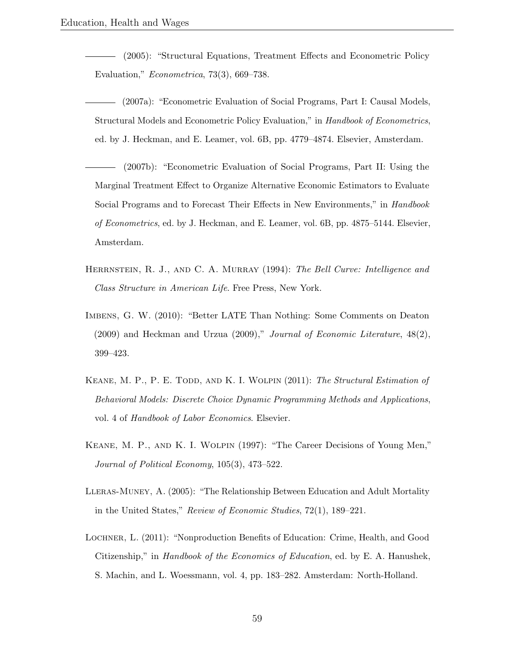<span id="page-59-0"></span>(2005): "Structural Equations, Treatment Effects and Econometric Policy Evaluation," Econometrica, 73(3), 669–738.

- <span id="page-59-6"></span>(2007a): "Econometric Evaluation of Social Programs, Part I: Causal Models, Structural Models and Econometric Policy Evaluation," in Handbook of Econometrics, ed. by J. Heckman, and E. Leamer, vol. 6B, pp. 4779–4874. Elsevier, Amsterdam.
- <span id="page-59-7"></span>(2007b): "Econometric Evaluation of Social Programs, Part II: Using the Marginal Treatment Effect to Organize Alternative Economic Estimators to Evaluate Social Programs and to Forecast Their Effects in New Environments," in Handbook of Econometrics, ed. by J. Heckman, and E. Leamer, vol. 6B, pp. 4875–5144. Elsevier, Amsterdam.
- <span id="page-59-8"></span>HERRNSTEIN, R. J., AND C. A. MURRAY (1994): The Bell Curve: Intelligence and Class Structure in American Life. Free Press, New York.
- <span id="page-59-2"></span>Imbens, G. W. (2010): "Better LATE Than Nothing: Some Comments on Deaton  $(2009)$  and Heckman and Urzua  $(2009)$ ," *Journal of Economic Literature*,  $48(2)$ , 399–423.
- <span id="page-59-4"></span>KEANE, M. P., P. E. TODD, AND K. I. WOLPIN (2011): The Structural Estimation of Behavioral Models: Discrete Choice Dynamic Programming Methods and Applications, vol. 4 of Handbook of Labor Economics. Elsevier.
- <span id="page-59-3"></span>Keane, M. P., and K. I. Wolpin (1997): "The Career Decisions of Young Men," Journal of Political Economy, 105(3), 473–522.
- <span id="page-59-1"></span>Lleras-Muney, A. (2005): "The Relationship Between Education and Adult Mortality in the United States," Review of Economic Studies, 72(1), 189–221.
- <span id="page-59-5"></span>Lochner, L. (2011): "Nonproduction Benefits of Education: Crime, Health, and Good Citizenship," in Handbook of the Economics of Education, ed. by E. A. Hanushek, S. Machin, and L. Woessmann, vol. 4, pp. 183–282. Amsterdam: North-Holland.